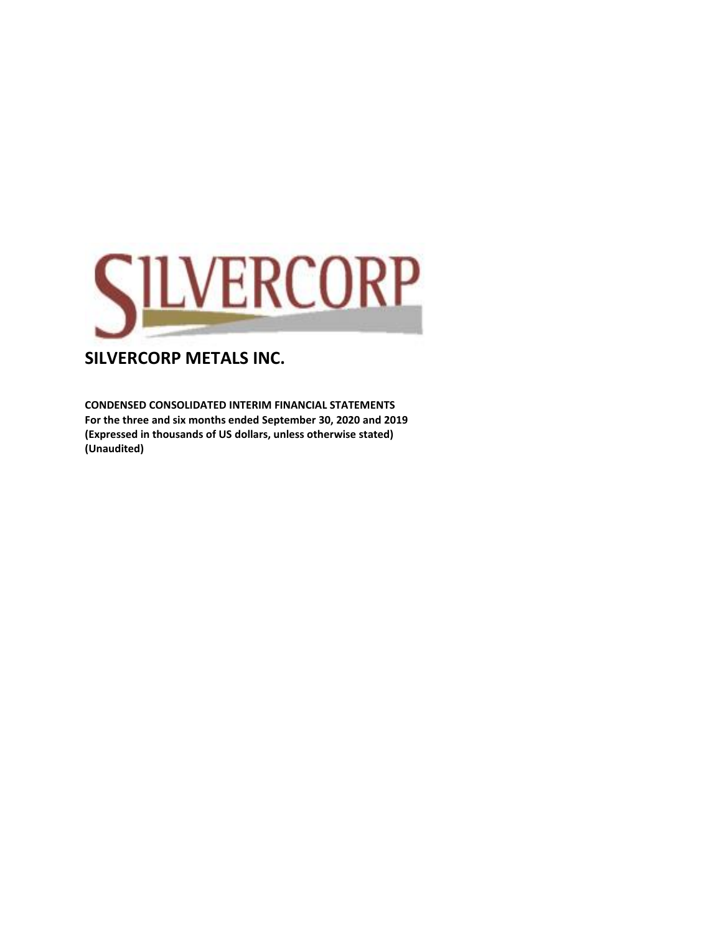

**CONDENSED CONSOLIDATED INTERIM FINANCIAL STATEMENTS For the three and six months ended September 30, 2020 and 2019 (Expressed in thousands of US dollars, unless otherwise stated) (Unaudited)**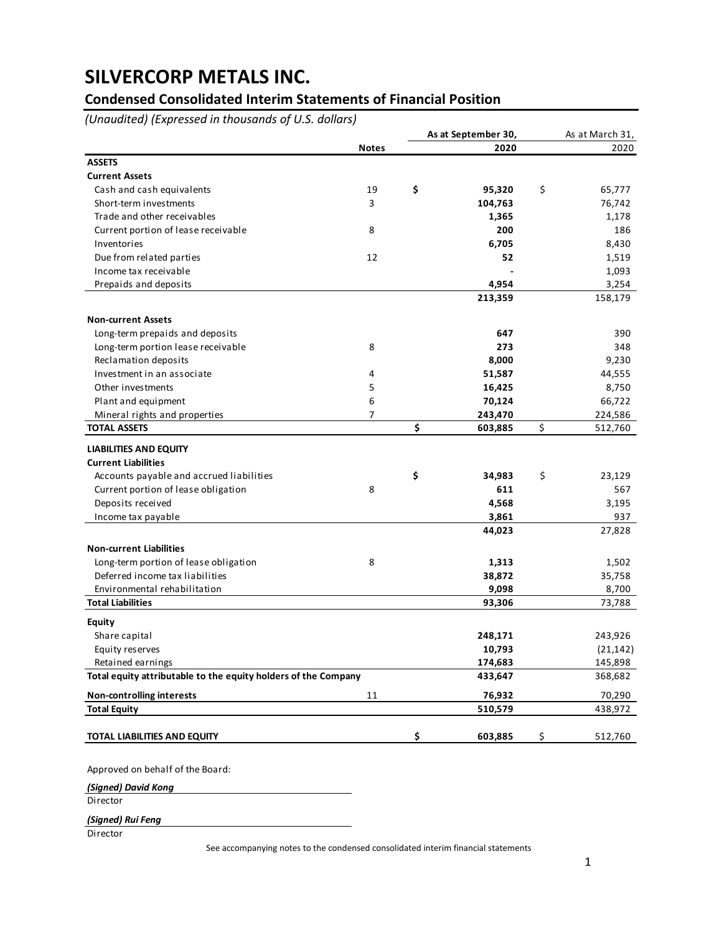### **Condensed Consolidated Interim Statements of Financial Position**

*(Unaudited) (Expressed in thousands of U.S. dollars)*

|                                                                |              | As at September 30, |    | As at March 31, |
|----------------------------------------------------------------|--------------|---------------------|----|-----------------|
|                                                                | <b>Notes</b> | 2020                |    | 2020            |
| <b>ASSETS</b>                                                  |              |                     |    |                 |
| <b>Current Assets</b>                                          |              |                     |    |                 |
| Cash and cash equivalents                                      | 19           | \$<br>95,320        | \$ | 65,777          |
| Short-term investments                                         | 3            | 104,763             |    | 76,742          |
| Trade and other receivables                                    |              | 1,365               |    | 1,178           |
| Current portion of lease receivable                            | 8            | 200                 |    | 186             |
| Inventories                                                    |              | 6,705               |    | 8,430           |
| Due from related parties                                       | 12           | 52                  |    | 1,519           |
| Income tax receivable                                          |              |                     |    | 1,093           |
| Prepaids and deposits                                          |              | 4,954               |    | 3,254           |
|                                                                |              | 213,359             |    | 158,179         |
| <b>Non-current Assets</b>                                      |              |                     |    |                 |
| Long-term prepaids and deposits                                |              | 647                 |    | 390             |
| Long-term portion lease receivable                             | 8            | 273                 |    | 348             |
| Reclamation deposits                                           |              | 8,000               |    | 9,230           |
| Investment in an associate                                     | 4            | 51,587              |    | 44,555          |
| Other investments                                              | 5            | 16,425              |    | 8,750           |
| Plant and equipment                                            | 6            | 70,124              |    | 66,722          |
| Mineral rights and properties                                  | 7            | 243,470             |    | 224,586         |
| <b>TOTAL ASSETS</b>                                            |              | \$<br>603,885       | \$ | 512,760         |
| <b>LIABILITIES AND EQUITY</b>                                  |              |                     |    |                 |
| <b>Current Liabilities</b>                                     |              |                     |    |                 |
| Accounts payable and accrued liabilities                       |              | \$<br>34,983        | \$ | 23,129          |
| Current portion of lease obligation                            | 8            | 611                 |    | 567             |
| Deposits received                                              |              | 4,568               |    | 3,195           |
| Income tax payable                                             |              | 3,861               |    | 937             |
|                                                                |              | 44,023              |    | 27,828          |
| <b>Non-current Liabilities</b>                                 |              |                     |    |                 |
| Long-term portion of lease obligation                          | 8            | 1,313               |    | 1,502           |
| Deferred income tax liabilities                                |              | 38,872              |    | 35,758          |
| Environmental rehabilitation                                   |              | 9,098               |    | 8,700           |
| <b>Total Liabilities</b>                                       |              | 93,306              |    | 73,788          |
| <b>Equity</b>                                                  |              |                     |    |                 |
| Share capital                                                  |              | 248,171             |    | 243,926         |
| Equity reserves                                                |              | 10,793              |    | (21, 142)       |
| Retained earnings                                              |              | 174,683             |    | 145,898         |
| Total equity attributable to the equity holders of the Company |              | 433,647             |    | 368,682         |
| <b>Non-controlling interests</b>                               | 11           | 76,932              |    | 70,290          |
| <b>Total Equity</b>                                            |              | 510,579             |    | 438,972         |
| TOTAL LIABILITIES AND EQUITY                                   |              | \$<br>603,885       | \$ | 512,760         |

Approved on behalf of the Board:

*(Signed) David Kong*

Director

*(Signed) Rui Feng*

Director

See accompanying notes to the condensed consolidated interim financial statements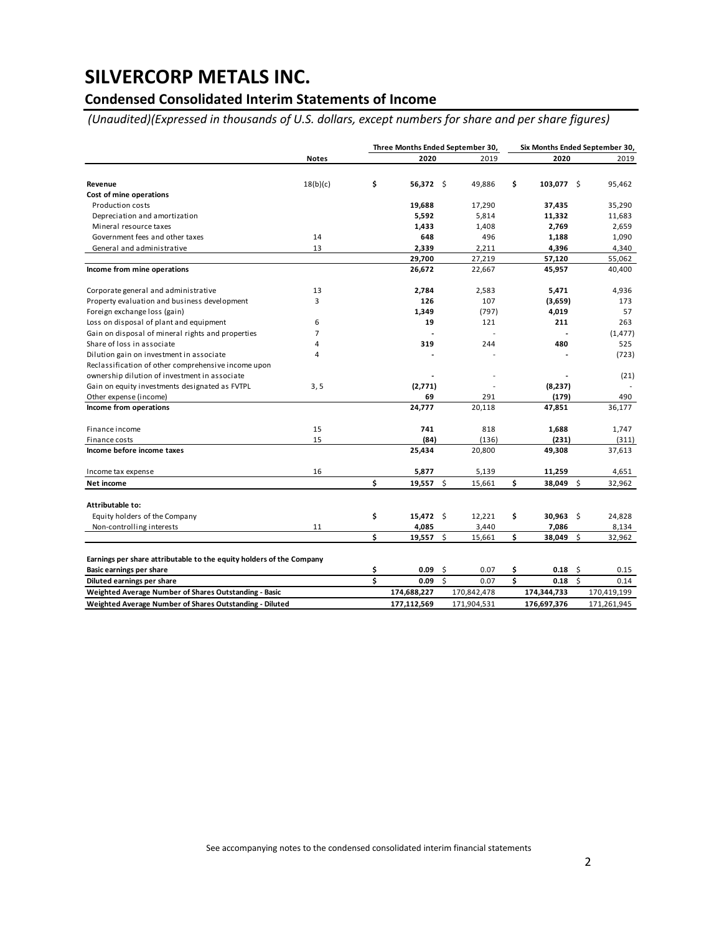### **Condensed Consolidated Interim Statements of Income**

*(Unaudited)(Expressed in thousands of U.S. dollars, except numbers for share and per share figures)*

|                                                                                                  |                |    | Three Months Ended September 30, |    |             | Six Months Ended September 30, |             |      |             |  |
|--------------------------------------------------------------------------------------------------|----------------|----|----------------------------------|----|-------------|--------------------------------|-------------|------|-------------|--|
|                                                                                                  | <b>Notes</b>   |    | 2020                             |    | 2019        |                                | 2020        |      | 2019        |  |
|                                                                                                  |                |    |                                  |    |             |                                |             |      |             |  |
| Revenue                                                                                          | 18(b)(c)       | \$ | 56,372 \$                        |    | 49,886      | \$                             | 103,077 \$  |      | 95,462      |  |
| Cost of mine operations                                                                          |                |    |                                  |    |             |                                |             |      |             |  |
| Production costs                                                                                 |                |    | 19,688                           |    | 17,290      |                                | 37,435      |      | 35,290      |  |
| Depreciation and amortization                                                                    |                |    | 5,592                            |    | 5,814       |                                | 11,332      |      | 11,683      |  |
| Mineral resource taxes                                                                           |                |    | 1,433                            |    | 1,408       |                                | 2,769       |      | 2,659       |  |
| Government fees and other taxes                                                                  | 14             |    | 648                              |    | 496         |                                | 1,188       |      | 1,090       |  |
| General and administrative                                                                       | 13             |    | 2,339                            |    | 2,211       |                                | 4,396       |      | 4,340       |  |
|                                                                                                  |                |    | 29,700                           |    | 27,219      |                                | 57,120      |      | 55,062      |  |
| Income from mine operations                                                                      |                |    | 26,672                           |    | 22,667      |                                | 45,957      |      | 40,400      |  |
| Corporate general and administrative                                                             | 13             |    | 2,784                            |    | 2,583       |                                | 5,471       |      | 4,936       |  |
| Property evaluation and business development                                                     | 3              |    | 126                              |    | 107         |                                | (3,659)     |      | 173         |  |
| Foreign exchange loss (gain)                                                                     |                |    | 1,349                            |    | (797)       |                                | 4,019       |      | 57          |  |
| Loss on disposal of plant and equipment                                                          | 6              |    | 19                               |    | 121         |                                | 211         |      | 263         |  |
| Gain on disposal of mineral rights and properties                                                | $\overline{7}$ |    |                                  |    |             |                                |             |      | (1, 477)    |  |
| Share of loss in associate                                                                       | 4              |    | 319                              |    | 244         |                                | 480         |      | 525         |  |
| Dilution gain on investment in associate                                                         | 4              |    |                                  |    |             |                                |             |      | (723)       |  |
| Reclassification of other comprehensive income upon                                              |                |    |                                  |    |             |                                |             |      |             |  |
| ownership dilution of investment in associate                                                    |                |    |                                  |    |             |                                |             |      | (21)        |  |
| Gain on equity investments designated as FVTPL                                                   | 3, 5           |    | (2,771)                          |    |             |                                | (8,237)     |      |             |  |
| Other expense (income)                                                                           |                |    | 69                               |    | 291         |                                | (179)       |      | 490         |  |
| Income from operations                                                                           |                |    | 24,777                           |    | 20,118      |                                | 47.851      |      | 36,177      |  |
| Finance income                                                                                   | 15             |    | 741                              |    | 818         |                                | 1,688       |      | 1,747       |  |
| Finance costs                                                                                    | 15             |    | (84)                             |    | (136)       |                                | (231)       |      | (311)       |  |
| Income before income taxes                                                                       |                |    | 25,434                           |    | 20,800      |                                | 49,308      |      | 37,613      |  |
| Income tax expense                                                                               | 16             |    | 5,877                            |    | 5,139       |                                | 11,259      |      | 4,651       |  |
| Net income                                                                                       |                | Ś  | 19,557                           | s  | 15,661      | \$                             | 38,049 \$   |      | 32,962      |  |
| Attributable to:                                                                                 |                |    |                                  |    |             |                                |             |      |             |  |
| Equity holders of the Company                                                                    |                | \$ | $15,472$ \$                      |    | 12,221      | \$                             | $30,963$ \$ |      | 24,828      |  |
| Non-controlling interests                                                                        | 11             |    | 4,085                            |    | 3,440       |                                | 7,086       |      | 8,134       |  |
|                                                                                                  |                | \$ | 19,557 \$                        |    | 15,661      | \$                             | 38,049 \$   |      | 32,962      |  |
|                                                                                                  |                |    |                                  |    |             |                                |             |      |             |  |
| Earnings per share attributable to the equity holders of the Company<br>Basic earnings per share |                | \$ | 0.09                             | \$ | 0.07        | \$                             | 0.18        | - \$ | 0.15        |  |
| Diluted earnings per share                                                                       |                | Ś  | 0.09                             | Ŝ. | 0.07        | \$                             | 0.18        | Ŝ.   | 0.14        |  |
| Weighted Average Number of Shares Outstanding - Basic                                            |                |    | 174,688,227                      |    | 170,842,478 |                                | 174,344,733 |      | 170,419,199 |  |
| Weighted Average Number of Shares Outstanding - Diluted                                          |                |    | 177,112,569                      |    | 171,904,531 |                                | 176,697,376 |      | 171,261,945 |  |

See accompanying notes to the condensed consolidated interim financial statements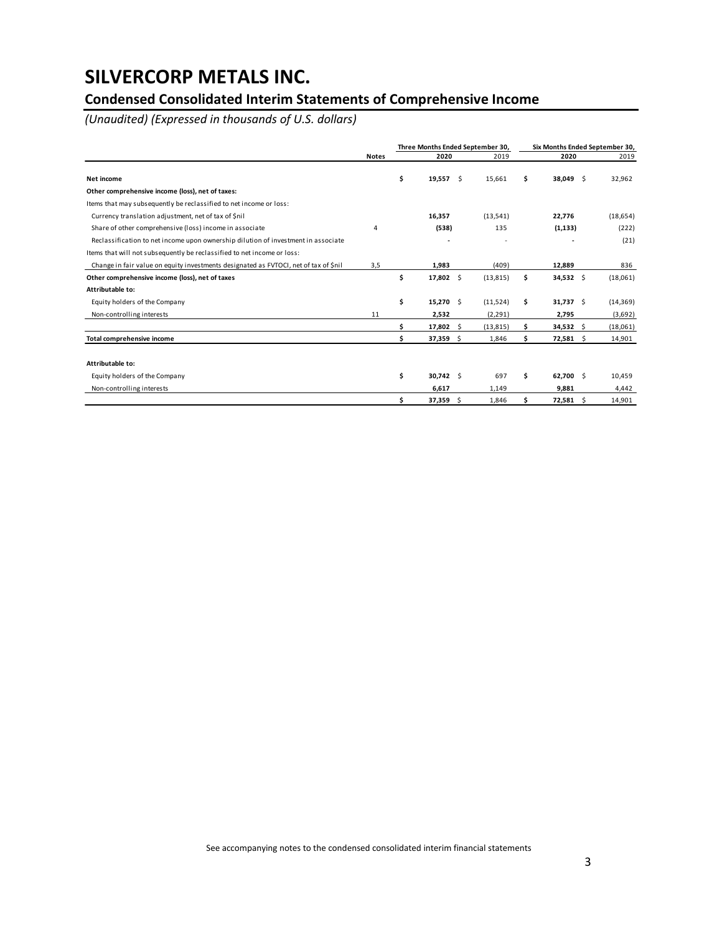### **Condensed Consolidated Interim Statements of Comprehensive Income**

*(Unaudited) (Expressed in thousands of U.S. dollars)*

|                                                                                      |              |     |             |    | Three Months Ended September 30, | Six Months Ended September 30, |             |           |  |  |
|--------------------------------------------------------------------------------------|--------------|-----|-------------|----|----------------------------------|--------------------------------|-------------|-----------|--|--|
|                                                                                      | <b>Notes</b> |     | 2020        |    | 2019                             |                                | 2020        | 2019      |  |  |
| Net income                                                                           |              | \$  | $19,557$ \$ |    | 15,661                           | Ś.                             | 38,049 \$   | 32,962    |  |  |
| Other comprehensive income (loss), net of taxes:                                     |              |     |             |    |                                  |                                |             |           |  |  |
| Items that may subsequently be reclassified to net income or loss:                   |              |     |             |    |                                  |                                |             |           |  |  |
| Currency translation adjustment, net of tax of \$nil                                 |              |     | 16,357      |    | (13,541)                         |                                | 22,776      | (18, 654) |  |  |
| Share of other comprehensive (loss) income in associate                              | 4            |     | (538)       |    | 135                              |                                | (1, 133)    | (222)     |  |  |
| Reclassification to net income upon ownership dilution of investment in associate    |              |     |             |    |                                  |                                |             | (21)      |  |  |
| Items that will not subsequently be reclassified to net income or loss:              |              |     |             |    |                                  |                                |             |           |  |  |
| Change in fair value on equity investments designated as FVTOCI, net of tax of \$nil | 3,5          |     | 1,983       |    | (409)                            |                                | 12,889      | 836       |  |  |
| Other comprehensive income (loss), net of taxes                                      |              | \$  | 17,802 \$   |    | (13, 815)                        | \$                             | $34,532$ \$ | (18,061)  |  |  |
| Attributable to:                                                                     |              |     |             |    |                                  |                                |             |           |  |  |
| Equity holders of the Company                                                        |              | \$  | $15,270$ \$ |    | (11,524)                         | \$                             | $31,737$ \$ | (14, 369) |  |  |
| Non-controlling interests                                                            | 11           |     | 2,532       |    | (2, 291)                         |                                | 2,795       | (3,692)   |  |  |
|                                                                                      |              | \$. | 17,802      | \$ | (13, 815)                        | Ŝ                              | 34,532 \$   | (18,061)  |  |  |
| Total comprehensive income                                                           |              | Ś.  | $37,359$ \$ |    | 1,846                            | Ŝ                              | $72,581$ \$ | 14,901    |  |  |
|                                                                                      |              |     |             |    |                                  |                                |             |           |  |  |
| Attributable to:                                                                     |              |     |             |    |                                  |                                |             |           |  |  |
| Equity holders of the Company                                                        |              | \$. | $30,742$ \$ |    | 697                              | \$.                            | 62,700 \$   | 10,459    |  |  |
| Non-controlling interests                                                            |              |     | 6,617       |    | 1,149                            |                                | 9,881       | 4,442     |  |  |
|                                                                                      |              | \$  | $37,359$ \$ |    | 1,846                            | \$                             | $72,581$ \$ | 14,901    |  |  |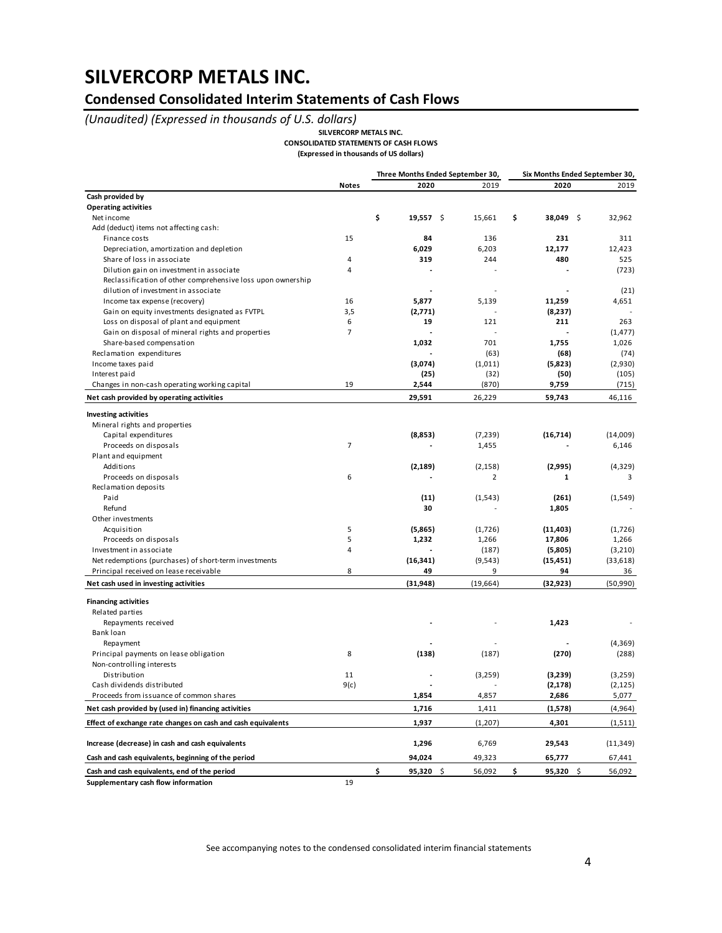### **Condensed Consolidated Interim Statements of Cash Flows**

### *(Unaudited) (Expressed in thousands of U.S. dollars)*

**SILVERCORP METALS INC.**

**CONSOLIDATED STATEMENTS OF CASH FLOWS**

**(Expressed in thousands of US dollars)**

|                                                              |                |                   | Three Months Ended September 30, |                      | Six Months Ended September 30, |
|--------------------------------------------------------------|----------------|-------------------|----------------------------------|----------------------|--------------------------------|
|                                                              | <b>Notes</b>   | 2020              | 2019                             | 2020                 | 2019                           |
| Cash provided by                                             |                |                   |                                  |                      |                                |
| <b>Operating activities</b>                                  |                |                   |                                  |                      |                                |
| Net income                                                   |                | \$<br>$19,557$ \$ | 15,661                           | \$<br>38,049<br>- \$ | 32,962                         |
| Add (deduct) items not affecting cash:                       |                |                   |                                  |                      |                                |
| Finance costs                                                | 15             | 84                | 136                              | 231                  | 311                            |
| Depreciation, amortization and depletion                     |                | 6,029             | 6,203                            | 12,177               | 12,423                         |
| Share of loss in associate                                   | 4              | 319               | 244                              | 480                  | 525                            |
| Dilution gain on investment in associate                     | 4              |                   |                                  |                      | (723)                          |
| Reclassification of other comprehensive loss upon ownership  |                |                   |                                  |                      |                                |
| dilution of investment in associate                          |                |                   |                                  |                      | (21)                           |
| Income tax expense (recovery)                                | 16             | 5,877             | 5,139                            | 11,259               | 4,651                          |
| Gain on equity investments designated as FVTPL               | 3,5            | (2,771)           |                                  | (8,237)              |                                |
| Loss on disposal of plant and equipment                      | 6              | 19                | 121                              | 211                  | 263                            |
| Gain on disposal of mineral rights and properties            | $\overline{7}$ |                   | $\overline{a}$                   |                      | (1, 477)                       |
| Share-based compensation                                     |                | 1,032             | 701                              | 1,755                | 1,026                          |
| Reclamation expenditures                                     |                |                   | (63)                             | (68)                 | (74)                           |
| Income taxes paid                                            |                | (3,074)           | (1,011)                          | (5,823)              | (2,930)                        |
| Interest paid                                                |                | (25)              | (32)                             | (50)                 | (105)                          |
| Changes in non-cash operating working capital                | 19             | 2,544             | (870)                            | 9,759                | (715)                          |
| Net cash provided by operating activities                    |                | 29,591            | 26,229                           | 59,743               | 46,116                         |
| <b>Investing activities</b>                                  |                |                   |                                  |                      |                                |
| Mineral rights and properties                                |                |                   |                                  |                      |                                |
| Capital expenditures                                         |                | (8,853)           | (7, 239)                         | (16, 714)            | (14,009)                       |
| Proceeds on disposals                                        | $\overline{7}$ |                   | 1,455                            |                      | 6,146                          |
| Plant and equipment                                          |                |                   |                                  |                      |                                |
| Additions                                                    |                | (2, 189)          | (2, 158)                         | (2,995)              | (4,329)                        |
|                                                              | 6              |                   | $\overline{2}$                   | 1                    |                                |
| Proceeds on disposals<br>Reclamation deposits                |                |                   |                                  |                      | 3                              |
|                                                              |                |                   |                                  |                      |                                |
| Paid<br>Refund                                               |                | (11)              | (1, 543)                         | (261)                | (1,549)                        |
|                                                              |                | 30                |                                  | 1,805                |                                |
| Other investments                                            | 5              |                   |                                  |                      |                                |
| Acquisition                                                  | 5              | (5,865)<br>1,232  | (1,726)                          | (11, 403)            | (1,726)<br>1,266               |
| Proceeds on disposals                                        | 4              |                   | 1,266                            | 17,806               |                                |
| Investment in associate                                      |                |                   | (187)                            | (5,805)              | (3,210)                        |
| Net redemptions (purchases) of short-term investments        |                | (16, 341)         | (9, 543)                         | (15, 451)            | (33, 618)                      |
| Principal received on lease receivable                       | 8              | 49                | 9                                | 94                   | 36                             |
| Net cash used in investing activities                        |                | (31, 948)         | (19, 664)                        | (32, 923)            | (50, 990)                      |
| <b>Financing activities</b>                                  |                |                   |                                  |                      |                                |
| Related parties                                              |                |                   |                                  |                      |                                |
| Repayments received                                          |                |                   |                                  | 1,423                |                                |
| Bank loan                                                    |                |                   |                                  |                      |                                |
| Repayment                                                    |                |                   |                                  |                      | (4,369)                        |
| Principal payments on lease obligation                       | 8              | (138)             | (187)                            | (270)                | (288)                          |
| Non-controlling interests                                    |                |                   |                                  |                      |                                |
| Distribution                                                 | 11             |                   | (3,259)                          | (3,239)              | (3,259)                        |
| Cash dividends distributed                                   | 9(c)           |                   |                                  | (2, 178)             | (2, 125)                       |
| Proceeds from issuance of common shares                      |                | 1,854             | 4,857                            | 2,686                | 5,077                          |
| Net cash provided by (used in) financing activities          |                | 1,716             | 1,411                            | (1,578)              | (4,964)                        |
| Effect of exchange rate changes on cash and cash equivalents |                | 1,937             | (1, 207)                         | 4,301                | (1,511)                        |
|                                                              |                |                   |                                  |                      |                                |
| Increase (decrease) in cash and cash equivalents             |                | 1,296             | 6,769                            | 29,543               | (11, 349)                      |
| Cash and cash equivalents, beginning of the period           |                | 94,024            | 49,323                           | 65,777               | 67,441                         |
| Cash and cash equivalents, end of the period                 |                | \$<br>95,320 \$   | 56,092                           | \$<br>95,320 \$      | 56,092                         |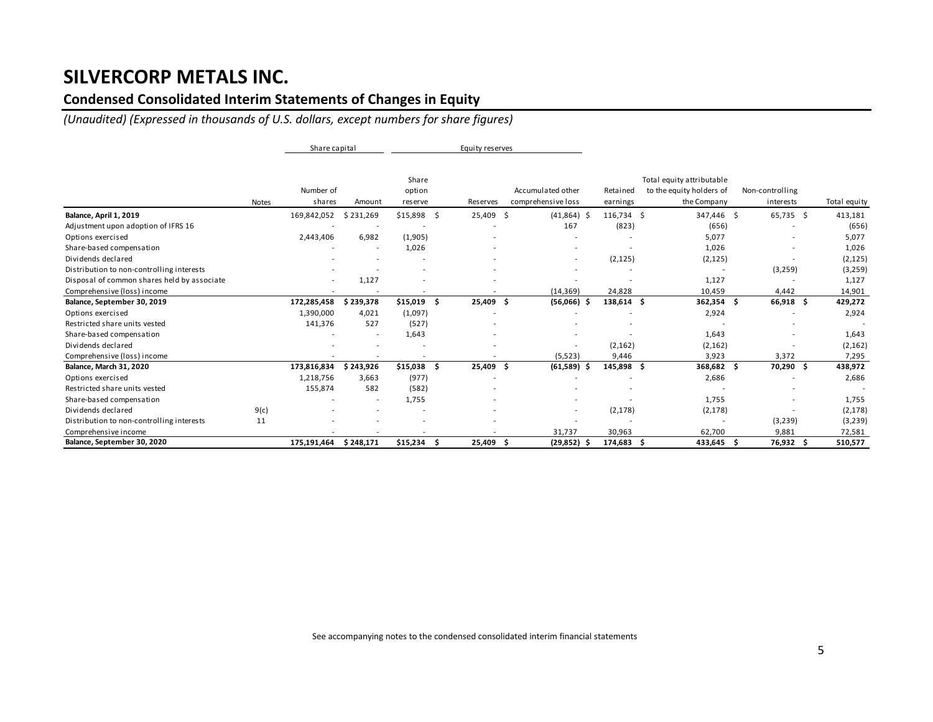### **Condensed Consolidated Interim Statements of Changes in Equity**

*(Unaudited) (Expressed in thousands of U.S. dollars, except numbers for share figures)*

|                                             |              | Share capital       |                          |                            | Equity reserves |                                         |                          |                                                                      |                              |              |
|---------------------------------------------|--------------|---------------------|--------------------------|----------------------------|-----------------|-----------------------------------------|--------------------------|----------------------------------------------------------------------|------------------------------|--------------|
|                                             | <b>Notes</b> | Number of<br>shares | Amount                   | Share<br>option<br>reserve | Reserves        | Accumulated other<br>comprehensive loss | Retained<br>earnings     | Total equity attributable<br>to the equity holders of<br>the Company | Non-controlling<br>interests | Total equity |
| Balance, April 1, 2019                      |              | 169,842,052         | \$231,269                | $$15,898$ \$               | 25,409 \$       | $(41,864)$ \$                           | 116,734 \$               | 347,446 \$                                                           | 65,735 \$                    | 413,181      |
| Adjustment upon adoption of IFRS 16         |              |                     |                          |                            |                 | 167                                     | (823)                    | (656)                                                                |                              | (656)        |
| Options exercised                           |              | 2,443,406           | 6,982                    | (1,905)                    |                 |                                         |                          | 5,077                                                                |                              | 5,077        |
| Share-based compensation                    |              |                     | $\overline{\phantom{a}}$ | 1,026                      |                 |                                         | $\overline{\phantom{a}}$ | 1,026                                                                |                              | 1,026        |
| Dividends declared                          |              |                     |                          |                            |                 | $\overline{\phantom{a}}$                | (2, 125)                 | (2, 125)                                                             |                              | (2, 125)     |
| Distribution to non-controlling interests   |              |                     |                          |                            |                 |                                         |                          |                                                                      | (3, 259)                     | (3,259)      |
| Disposal of common shares held by associate |              |                     | 1,127                    |                            |                 |                                         |                          | 1,127                                                                |                              | 1,127        |
| Comprehensive (loss) income                 |              |                     | $\overline{\phantom{a}}$ | $\overline{\phantom{a}}$   |                 | (14, 369)                               | 24,828                   | 10,459                                                               | 4,442                        | 14,901       |
| Balance, September 30, 2019                 |              | 172,285,458         | \$239,378                | $$15,019$ \$               | 25,409          | $(56,066)$ \$<br>Ŝ                      | 138,614 \$               | $362,354$ \$                                                         | 66,918 \$                    | 429,272      |
| Options exercised                           |              | 1,390,000           | 4,021                    | (1,097)                    |                 |                                         |                          | 2,924                                                                |                              | 2,924        |
| Restricted share units vested               |              | 141,376             | 527                      | (527)                      |                 |                                         |                          |                                                                      |                              |              |
| Share-based compensation                    |              |                     | $\overline{\phantom{a}}$ | 1,643                      |                 |                                         |                          | 1,643                                                                |                              | 1,643        |
| Dividends declared                          |              |                     |                          |                            |                 |                                         | (2, 162)                 | (2, 162)                                                             |                              | (2, 162)     |
| Comprehensive (loss) income                 |              |                     |                          |                            |                 | (5, 523)                                | 9,446                    | 3,923                                                                | 3,372                        | 7,295        |
| Balance, March 31, 2020                     |              | 173,816,834         | \$243,926                | $$15,038$ \$               | 25,409 \$       | (61,589)                                | 145,898 \$<br>-S         | 368,682 \$                                                           | 70,290 \$                    | 438,972      |
| Options exercised                           |              | 1,218,756           | 3,663                    | (977)                      |                 |                                         |                          | 2,686                                                                |                              | 2,686        |
| Restricted share units vested               |              | 155,874             | 582                      | (582)                      |                 |                                         |                          |                                                                      |                              |              |
| Share-based compensation                    |              |                     | $\overline{\phantom{a}}$ | 1,755                      |                 |                                         |                          | 1,755                                                                |                              | 1,755        |
| Dividends declared                          | 9(c)         |                     |                          | $\overline{\phantom{a}}$   |                 |                                         | (2, 178)                 | (2, 178)                                                             |                              | (2, 178)     |
| Distribution to non-controlling interests   | 11           |                     |                          |                            |                 |                                         |                          |                                                                      | (3, 239)                     | (3,239)      |
| Comprehensive income                        |              |                     |                          | $\overline{\phantom{a}}$   |                 | 31,737                                  | 30,963                   | 62,700                                                               | 9,881                        | 72,581       |
| Balance, September 30, 2020                 |              | 175,191,464         | \$248,171                | $$15,234$ \$               | 25,409          | $(29, 852)$ \$<br>Ŝ                     | 174,683 \$               | $433,645$ \$                                                         | 76,932 \$                    | 510,577      |

See accompanying notes to the condensed consolidated interim financial statements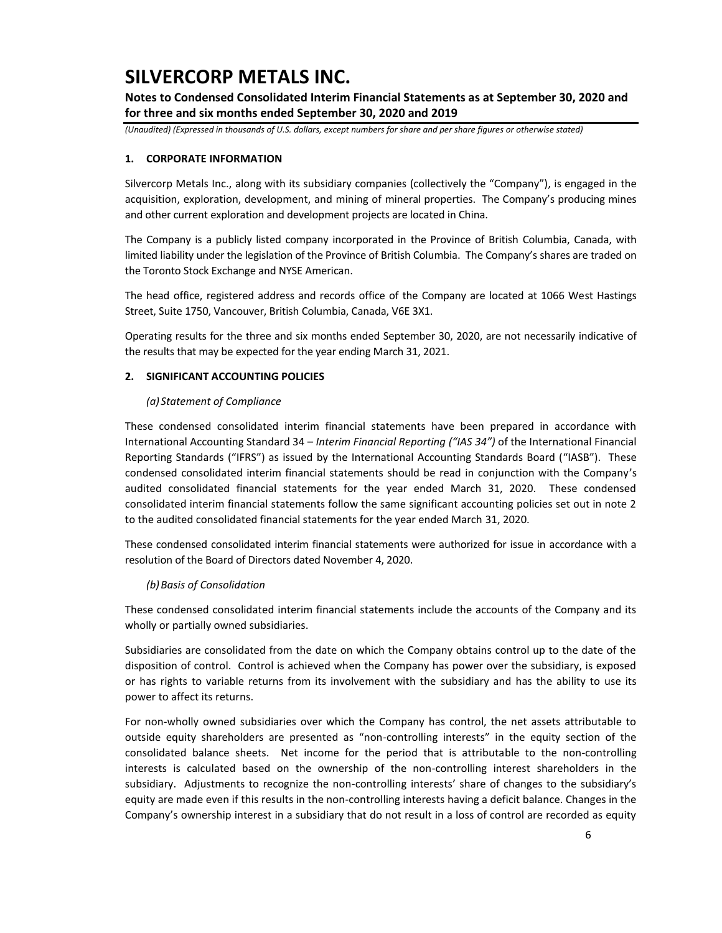**Notes to Condensed Consolidated Interim Financial Statements as at September 30, 2020 and for three and six months ended September 30, 2020 and 2019**

*(Unaudited) (Expressed in thousands of U.S. dollars, except numbers for share and per share figures or otherwise stated)*

### **1. CORPORATE INFORMATION**

Silvercorp Metals Inc., along with its subsidiary companies (collectively the "Company"), is engaged in the acquisition, exploration, development, and mining of mineral properties. The Company's producing mines and other current exploration and development projects are located in China.

The Company is a publicly listed company incorporated in the Province of British Columbia, Canada, with limited liability under the legislation of the Province of British Columbia. The Company's shares are traded on the Toronto Stock Exchange and NYSE American.

The head office, registered address and records office of the Company are located at 1066 West Hastings Street, Suite 1750, Vancouver, British Columbia, Canada, V6E 3X1.

Operating results for the three and six months ended September 30, 2020, are not necessarily indicative of the results that may be expected for the year ending March 31, 2021.

### **2. SIGNIFICANT ACCOUNTING POLICIES**

#### *(a) Statement of Compliance*

These condensed consolidated interim financial statements have been prepared in accordance with International Accounting Standard 34 – *Interim Financial Reporting ("IAS 34")* of the International Financial Reporting Standards ("IFRS") as issued by the International Accounting Standards Board ("IASB"). These condensed consolidated interim financial statements should be read in conjunction with the Company's audited consolidated financial statements for the year ended March 31, 2020. These condensed consolidated interim financial statements follow the same significant accounting policies set out in note 2 to the audited consolidated financial statements for the year ended March 31, 2020.

These condensed consolidated interim financial statements were authorized for issue in accordance with a resolution of the Board of Directors dated November 4, 2020.

#### *(b)Basis of Consolidation*

These condensed consolidated interim financial statements include the accounts of the Company and its wholly or partially owned subsidiaries.

Subsidiaries are consolidated from the date on which the Company obtains control up to the date of the disposition of control. Control is achieved when the Company has power over the subsidiary, is exposed or has rights to variable returns from its involvement with the subsidiary and has the ability to use its power to affect its returns.

For non-wholly owned subsidiaries over which the Company has control, the net assets attributable to outside equity shareholders are presented as "non-controlling interests" in the equity section of the consolidated balance sheets. Net income for the period that is attributable to the non-controlling interests is calculated based on the ownership of the non-controlling interest shareholders in the subsidiary. Adjustments to recognize the non-controlling interests' share of changes to the subsidiary's equity are made even if this results in the non-controlling interests having a deficit balance. Changes in the Company's ownership interest in a subsidiary that do not result in a loss of control are recorded as equity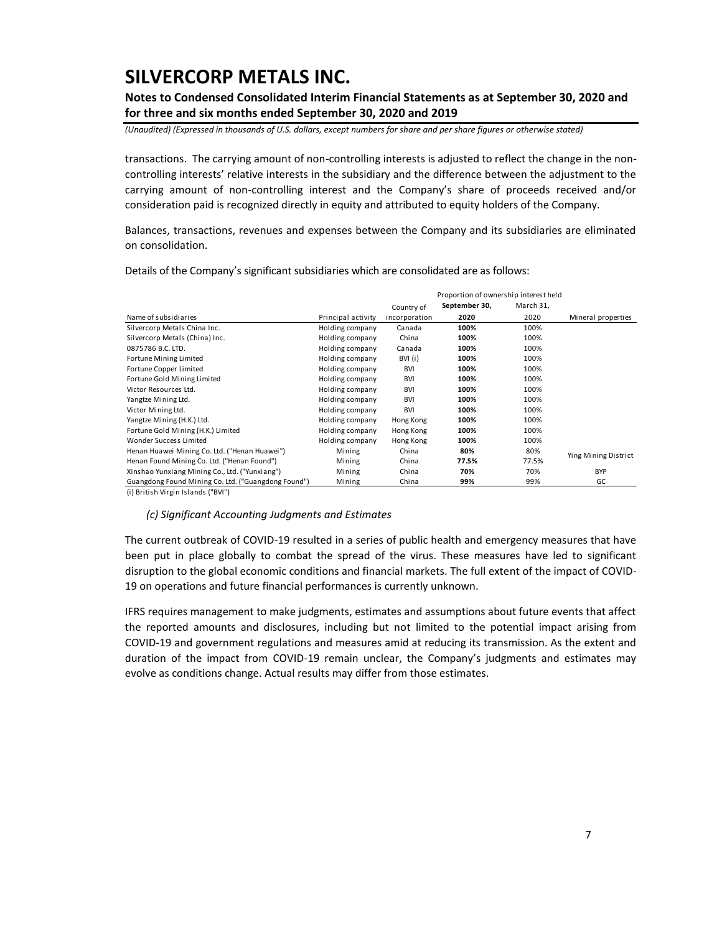**Notes to Condensed Consolidated Interim Financial Statements as at September 30, 2020 and for three and six months ended September 30, 2020 and 2019**

*(Unaudited) (Expressed in thousands of U.S. dollars, except numbers for share and per share figures or otherwise stated)*

transactions. The carrying amount of non-controlling interests is adjusted to reflect the change in the noncontrolling interests' relative interests in the subsidiary and the difference between the adjustment to the carrying amount of non-controlling interest and the Company's share of proceeds received and/or consideration paid is recognized directly in equity and attributed to equity holders of the Company.

Balances, transactions, revenues and expenses between the Company and its subsidiaries are eliminated on consolidation.

|                                                     |                    |               | Proportion of ownership interest held |           |                      |
|-----------------------------------------------------|--------------------|---------------|---------------------------------------|-----------|----------------------|
|                                                     |                    | Country of    | September 30,                         | March 31, |                      |
| Name of subsidiaries                                | Principal activity | incorporation | 2020                                  | 2020      | Mineral properties   |
| Silvercorp Metals China Inc.                        | Holding company    | Canada        | 100%                                  | 100%      |                      |
| Silvercorp Metals (China) Inc.                      | Holding company    | China         | 100%                                  | 100%      |                      |
| 0875786 B.C. LTD.                                   | Holding company    | Canada        | 100%                                  | 100%      |                      |
| Fortune Mining Limited                              | Holding company    | BVI (i)       | 100%                                  | 100%      |                      |
| Fortune Copper Limited                              | Holding company    | <b>BVI</b>    | 100%                                  | 100%      |                      |
| Fortune Gold Mining Limited                         | Holding company    | <b>BVI</b>    | 100%                                  | 100%      |                      |
| Victor Resources Ltd.                               | Holding company    | <b>BVI</b>    | 100%                                  | 100%      |                      |
| Yangtze Mining Ltd.                                 | Holding company    | <b>BVI</b>    | 100%                                  | 100%      |                      |
| Victor Mining Ltd.                                  | Holding company    | <b>BVI</b>    | 100%                                  | 100%      |                      |
| Yangtze Mining (H.K.) Ltd.                          | Holding company    | Hong Kong     | 100%                                  | 100%      |                      |
| Fortune Gold Mining (H.K.) Limited                  | Holding company    | Hong Kong     | 100%                                  | 100%      |                      |
| Wonder Success Limited                              | Holding company    | Hong Kong     | 100%                                  | 100%      |                      |
| Henan Huawei Mining Co. Ltd. ("Henan Huawei")       | Mining             | China         | 80%                                   | 80%       | Ying Mining District |
| Henan Found Mining Co. Ltd. ("Henan Found")         | Mining             | China         | 77.5%                                 | 77.5%     |                      |
| Xinshao Yunxiang Mining Co., Ltd. ("Yunxiang")      | Mining             | China         | 70%                                   | 70%       | <b>BYP</b>           |
| Guangdong Found Mining Co. Ltd. ("Guangdong Found") | Mining             | China         | 99%                                   | 99%       | GC                   |

Details of the Company's significant subsidiaries which are consolidated are as follows:

(i) British Virgin Islands ("BVI")

*(c) Significant Accounting Judgments and Estimates*

The current outbreak of COVID-19 resulted in a series of public health and emergency measures that have been put in place globally to combat the spread of the virus. These measures have led to significant disruption to the global economic conditions and financial markets. The full extent of the impact of COVID-19 on operations and future financial performances is currently unknown.

IFRS requires management to make judgments, estimates and assumptions about future events that affect the reported amounts and disclosures, including but not limited to the potential impact arising from COVID-19 and government regulations and measures amid at reducing its transmission. As the extent and duration of the impact from COVID-19 remain unclear, the Company's judgments and estimates may evolve as conditions change. Actual results may differ from those estimates.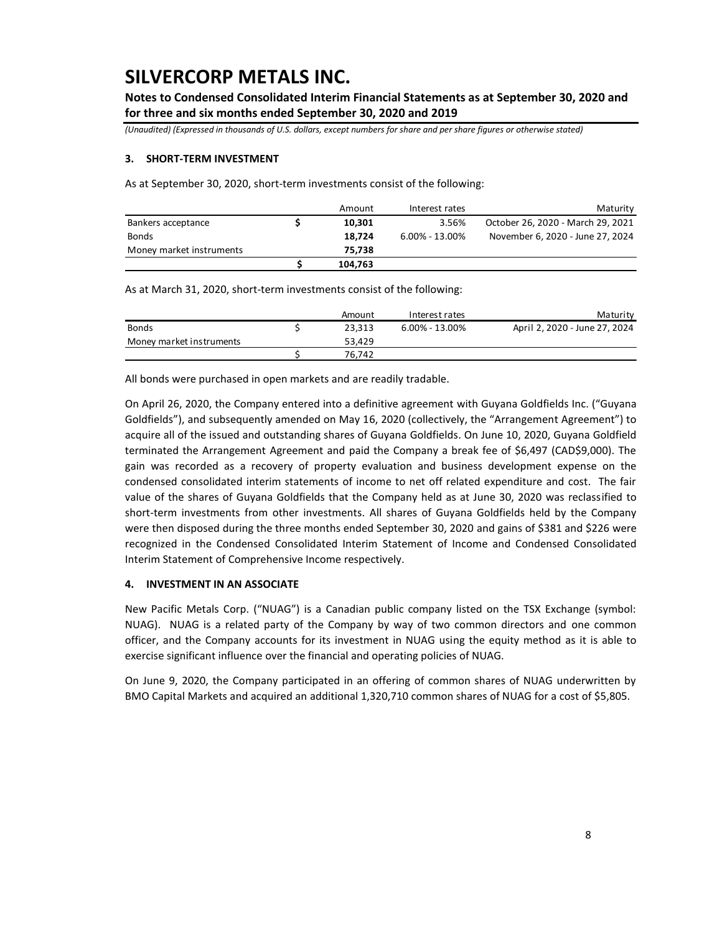**Notes to Condensed Consolidated Interim Financial Statements as at September 30, 2020 and for three and six months ended September 30, 2020 and 2019**

*(Unaudited) (Expressed in thousands of U.S. dollars, except numbers for share and per share figures or otherwise stated)*

#### **3. SHORT-TERM INVESTMENT**

As at September 30, 2020, short-term investments consist of the following:

|                          | Amount  | Interest rates     | Maturity                          |
|--------------------------|---------|--------------------|-----------------------------------|
| Bankers acceptance       | 10.301  | 3.56%              | October 26, 2020 - March 29, 2021 |
| <b>Bonds</b>             | 18.724  | $6.00\% - 13.00\%$ | November 6, 2020 - June 27, 2024  |
| Money market instruments | 75.738  |                    |                                   |
|                          | 104,763 |                    |                                   |

As at March 31, 2020, short-term investments consist of the following:

|                          | Amount | Interest rates     | Maturity                      |
|--------------------------|--------|--------------------|-------------------------------|
| <b>Bonds</b>             | 23.313 | $6.00\% - 13.00\%$ | April 2, 2020 - June 27, 2024 |
| Money market instruments | 53.429 |                    |                               |
|                          | 76.742 |                    |                               |

All bonds were purchased in open markets and are readily tradable.

On April 26, 2020, the Company entered into a definitive agreement with Guyana Goldfields Inc. ("Guyana Goldfields"), and subsequently amended on May 16, 2020 (collectively, the "Arrangement Agreement") to acquire all of the issued and outstanding shares of Guyana Goldfields. On June 10, 2020, Guyana Goldfield terminated the Arrangement Agreement and paid the Company a break fee of \$6,497 (CAD\$9,000). The gain was recorded as a recovery of property evaluation and business development expense on the condensed consolidated interim statements of income to net off related expenditure and cost. The fair value of the shares of Guyana Goldfields that the Company held as at June 30, 2020 was reclassified to short-term investments from other investments. All shares of Guyana Goldfields held by the Company were then disposed during the three months ended September 30, 2020 and gains of \$381 and \$226 were recognized in the Condensed Consolidated Interim Statement of Income and Condensed Consolidated Interim Statement of Comprehensive Income respectively.

### **4. INVESTMENT IN AN ASSOCIATE**

New Pacific Metals Corp. ("NUAG") is a Canadian public company listed on the TSX Exchange (symbol: NUAG). NUAG is a related party of the Company by way of two common directors and one common officer, and the Company accounts for its investment in NUAG using the equity method as it is able to exercise significant influence over the financial and operating policies of NUAG.

On June 9, 2020, the Company participated in an offering of common shares of NUAG underwritten by BMO Capital Markets and acquired an additional 1,320,710 common shares of NUAG for a cost of \$5,805.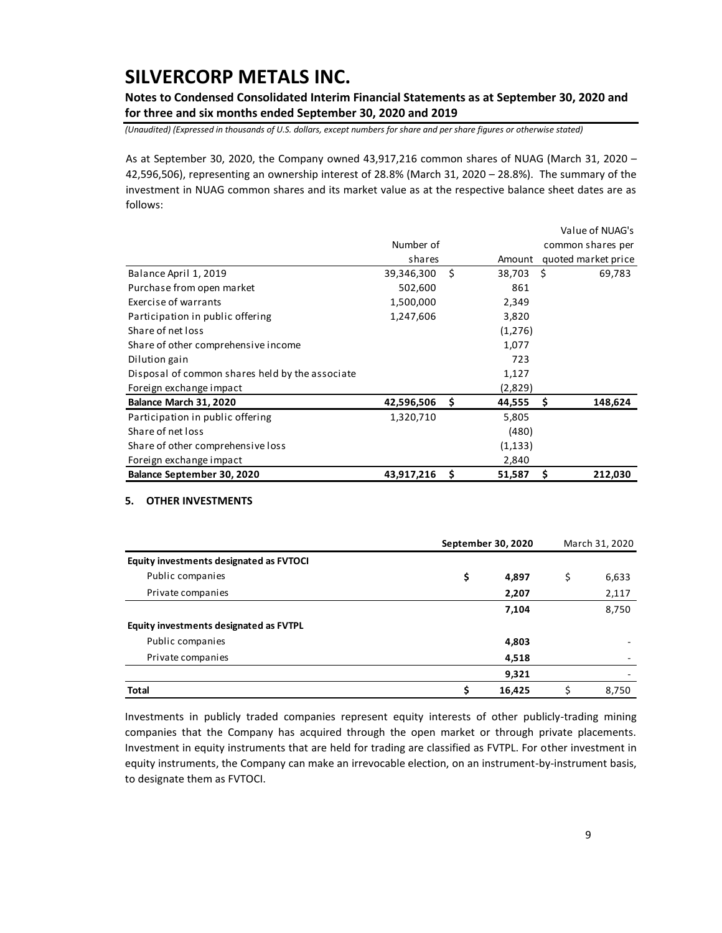**Notes to Condensed Consolidated Interim Financial Statements as at September 30, 2020 and for three and six months ended September 30, 2020 and 2019**

*(Unaudited) (Expressed in thousands of U.S. dollars, except numbers for share and per share figures or otherwise stated)*

As at September 30, 2020, the Company owned 43,917,216 common shares of NUAG (March 31, 2020 – 42,596,506), representing an ownership interest of 28.8% (March 31, 2020 – 28.8%). The summary of the investment in NUAG common shares and its market value as at the respective balance sheet dates are as follows:

|                                                 |            |     |          | Value of NUAG's     |
|-------------------------------------------------|------------|-----|----------|---------------------|
|                                                 | Number of  |     |          | common shares per   |
|                                                 | shares     |     | Amount   | quoted market price |
| Balance April 1, 2019                           | 39,346,300 | Ŝ.  | 38,703   | - \$<br>69,783      |
| Purchase from open market                       | 502,600    |     | 861      |                     |
| Exercise of warrants                            | 1,500,000  |     | 2,349    |                     |
| Participation in public offering                | 1,247,606  |     | 3,820    |                     |
| Share of net loss                               |            |     | (1,276)  |                     |
| Share of other comprehensive income             |            |     | 1,077    |                     |
| Dilution gain                                   |            |     | 723      |                     |
| Disposal of common shares held by the associate |            |     | 1,127    |                     |
| Foreign exchange impact                         |            |     | (2,829)  |                     |
| Balance March 31, 2020                          | 42,596,506 | -\$ | 44,555   | 148,624<br>\$.      |
| Participation in public offering                | 1,320,710  |     | 5,805    |                     |
| Share of net loss                               |            |     | (480)    |                     |
| Share of other comprehensive loss               |            |     | (1, 133) |                     |
| Foreign exchange impact                         |            |     | 2,840    |                     |
| Balance September 30, 2020                      | 43,917,216 | \$  | 51,587   | \$<br>212,030       |

#### **5. OTHER INVESTMENTS**

|                                         |    | September 30, 2020 |    |       |  |  |
|-----------------------------------------|----|--------------------|----|-------|--|--|
| Equity investments designated as FVTOCI |    |                    |    |       |  |  |
| Public companies                        | \$ | 4,897              | \$ | 6,633 |  |  |
| Private companies                       |    | 2,207              |    | 2,117 |  |  |
|                                         |    | 7,104              |    | 8,750 |  |  |
| Equity investments designated as FVTPL  |    |                    |    |       |  |  |
| Public companies                        |    | 4,803              |    |       |  |  |
| Private companies                       |    | 4,518              |    |       |  |  |
|                                         |    | 9,321              |    |       |  |  |
| <b>Total</b>                            | Ś  | 16,425             |    | 8,750 |  |  |

Investments in publicly traded companies represent equity interests of other publicly-trading mining companies that the Company has acquired through the open market or through private placements. Investment in equity instruments that are held for trading are classified as FVTPL. For other investment in equity instruments, the Company can make an irrevocable election, on an instrument-by-instrument basis, to designate them as FVTOCI.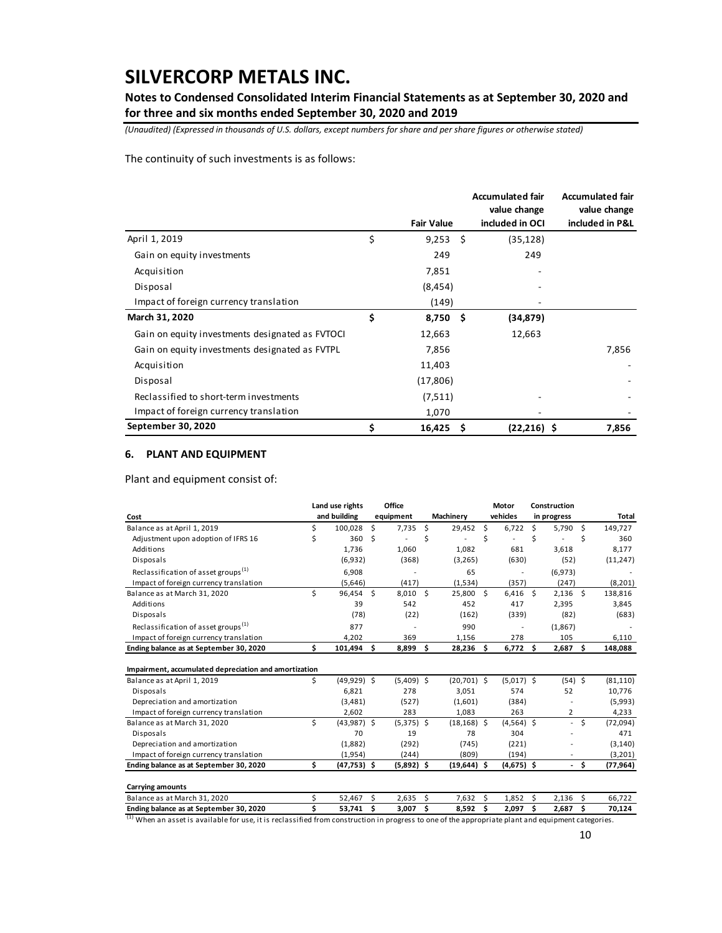**Notes to Condensed Consolidated Interim Financial Statements as at September 30, 2020 and for three and six months ended September 30, 2020 and 2019**

*(Unaudited) (Expressed in thousands of U.S. dollars, except numbers for share and per share figures or otherwise stated)*

The continuity of such investments is as follows:

|                                                 |                   |    | <b>Accumulated fair</b><br>value change | <b>Accumulated fair</b><br>value change |
|-------------------------------------------------|-------------------|----|-----------------------------------------|-----------------------------------------|
|                                                 | <b>Fair Value</b> |    | included in OCI                         | included in P&L                         |
| April 1, 2019                                   | \$<br>9,253       | -Ś | (35, 128)                               |                                         |
| Gain on equity investments                      | 249               |    | 249                                     |                                         |
| Acquisition                                     | 7,851             |    |                                         |                                         |
| Disposal                                        | (8, 454)          |    |                                         |                                         |
| Impact of foreign currency translation          | (149)             |    |                                         |                                         |
| March 31, 2020                                  | \$<br>$8,750$ \$  |    | (34,879)                                |                                         |
| Gain on equity investments designated as FVTOCI | 12,663            |    | 12,663                                  |                                         |
| Gain on equity investments designated as FVTPL  | 7,856             |    |                                         | 7,856                                   |
| Acquisition                                     | 11,403            |    |                                         |                                         |
| Disposal                                        | (17, 806)         |    |                                         |                                         |
| Reclassified to short-term investments          | (7,511)           |    |                                         |                                         |
| Impact of foreign currency translation          | 1,070             |    |                                         |                                         |
| September 30, 2020                              | \$<br>16,425      | \$ | $(22, 216)$ \$                          | 7,856                                   |

### **6. PLANT AND EQUIPMENT**

Plant and equipment consist of:

|                                                       |    | Land use rights |    | Office       |    |                |    | Motor        |    | Construction   |      |              |
|-------------------------------------------------------|----|-----------------|----|--------------|----|----------------|----|--------------|----|----------------|------|--------------|
| Cost                                                  |    | and building    |    | equipment    |    | Machinery      |    | vehicles     |    | in progress    |      | <b>Total</b> |
| Balance as at April 1, 2019                           | \$ | 100,028         | \$ | 7,735        | \$ | $29,452$ \$    |    | 6,722        | Ŝ. | 5,790          | - Ś  | 149,727      |
| Adjustment upon adoption of IFRS 16                   | Ś  | 360             | Ś  |              | Ś  |                | Ś  |              | Ś  |                | Š.   | 360          |
| Additions                                             |    | 1,736           |    | 1,060        |    | 1,082          |    | 681          |    | 3.618          |      | 8,177        |
| Disposals                                             |    | (6,932)         |    | (368)        |    | (3, 265)       |    | (630)        |    | (52)           |      | (11, 247)    |
| Reclassification of asset groups <sup>(1)</sup>       |    | 6,908           |    |              |    | 65             |    |              |    | (6,973)        |      |              |
| Impact of foreign currency translation                |    | (5,646)         |    | (417)        |    | (1,534)        |    | (357)        |    | (247)          |      | (8, 201)     |
| Balance as at March 31, 2020                          | \$ | 96,454 \$       |    | $8,010$ \$   |    | 25,800 \$      |    | $6,416$ \$   |    | $2,136$ \$     |      | 138,816      |
| Additions                                             |    | 39              |    | 542          |    | 452            |    | 417          |    | 2,395          |      | 3,845        |
| Disposals                                             |    | (78)            |    | (22)         |    | (162)          |    | (339)        |    | (82)           |      | (683)        |
| Reclassification of asset groups <sup>(1)</sup>       |    | 877             |    |              |    | 990            |    |              |    | (1,867)        |      |              |
| Impact of foreign currency translation                |    | 4,202           |    | 369          |    | 1,156          |    | 278          |    | 105            |      | 6,110        |
| Ending balance as at September 30, 2020               | \$ | 101,494 \$      |    | 8,899 \$     |    | $28,236$ \$    |    | $6,772$ \$   |    | $2,687$ \$     |      | 148,088      |
| Impairment, accumulated depreciation and amortization |    |                 |    |              |    |                |    |              |    |                |      |              |
| Balance as at April 1, 2019                           | Ś  | $(49,929)$ \$   |    | $(5,409)$ \$ |    | $(20,701)$ \$  |    | $(5,017)$ \$ |    | $(54)$ \$      |      | (81, 110)    |
| Disposals                                             |    | 6,821           |    | 278          |    | 3,051          |    | 574          |    | 52             |      | 10,776       |
| Depreciation and amortization                         |    | (3, 481)        |    | (527)        |    | (1,601)        |    | (384)        |    |                |      | (5,993)      |
| Impact of foreign currency translation                |    | 2,602           |    | 283          |    | 1,083          |    | 263          |    | $\overline{2}$ |      | 4,233        |
| Balance as at March 31, 2020                          | Ś  | $(43,987)$ \$   |    | $(5,375)$ \$ |    | $(18, 168)$ \$ |    | $(4,564)$ \$ |    | $\sim$         | Ś.   | (72,094)     |
| Disposals                                             |    | 70              |    | 19           |    | 78             |    | 304          |    |                |      | 471          |
| Depreciation and amortization                         |    | (1,882)         |    | (292)        |    | (745)          |    | (221)        |    |                |      | (3, 140)     |
| Impact of foreign currency translation                |    | (1,954)         |    | (244)        |    | (809)          |    | (194)        |    |                |      | (3,201)      |
| Ending balance as at September 30, 2020               | \$ | $(47, 753)$ \$  |    | $(5,892)$ \$ |    | $(19,644)$ \$  |    | $(4,675)$ \$ |    |                | - \$ | (77, 964)    |
| <b>Carrying amounts</b>                               |    |                 |    |              |    |                |    |              |    |                |      |              |
| Balance as at March 31, 2020                          | Ś  | 52,467          | Ś. | 2,635        | Ś. | 7,632          | Ŝ. | 1,852        | Ŝ. | 2,136          | Ś.   | 66,722       |
| Ending balance as at September 30, 2020               | Ś  | 53,741          | \$ | 3,007        | \$ | 8,592          | \$ | 2,097        | Ś  | 2,687          | \$   | 70,124       |

<sup>(1)</sup> When an asset is available for use, it is reclassified from construction in progress to one of the appropriate plant and equipment categories.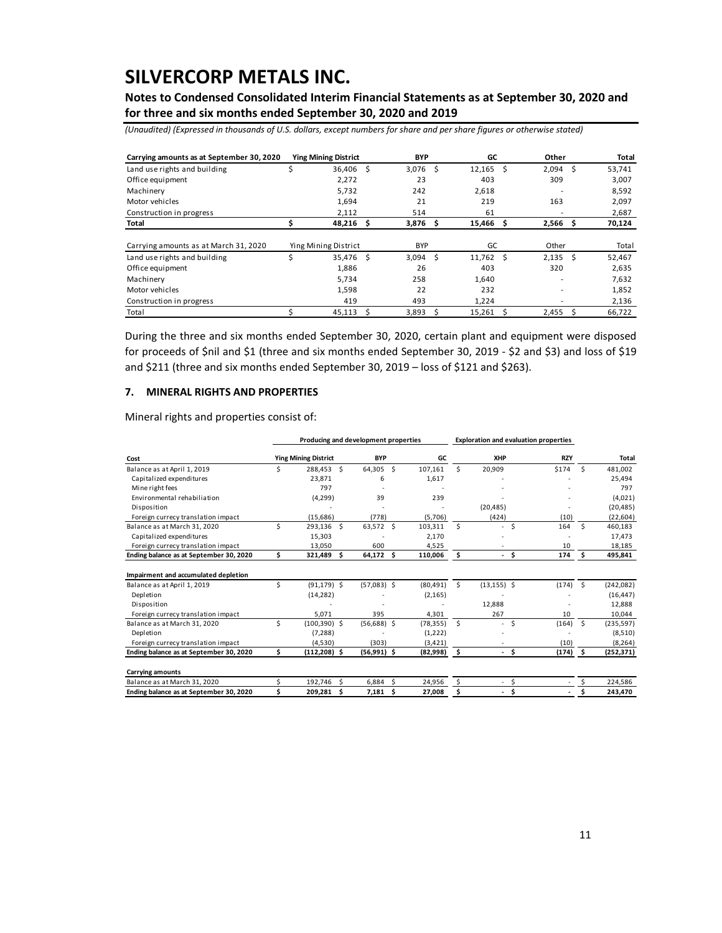**Notes to Condensed Consolidated Interim Financial Statements as at September 30, 2020 and for three and six months ended September 30, 2020 and 2019**

*(Unaudited) (Expressed in thousands of U.S. dollars, except numbers for share and per share figures or otherwise stated)*

| Carrying amounts as at September 30, 2020 |   | <b>Ying Mining District</b> |    | <b>BYP</b> |    | GC          |       | Other |    | Total  |
|-------------------------------------------|---|-----------------------------|----|------------|----|-------------|-------|-------|----|--------|
| Land use rights and building              |   | 36,406                      | Ŝ  | 3,076      | Ŝ. | $12,165$ \$ |       | 2,094 | Ŝ. | 53,741 |
| Office equipment                          |   | 2,272                       |    | 23         |    | 403         |       | 309   |    | 3,007  |
| Machinery                                 |   | 5,732                       |    | 242        |    | 2,618       |       |       |    | 8,592  |
| Motor vehicles                            |   | 1,694                       |    | 21         |    | 219         |       | 163   |    | 2,097  |
| Construction in progress                  |   | 2,112                       |    | 514        |    | 61          |       |       |    | 2,687  |
| Total                                     |   | 48,216                      | \$ | 3,876      | \$ | 15,466      | \$    | 2,566 | \$ | 70,124 |
| Carrying amounts as at March 31, 2020     |   | Ying Mining District        |    | <b>BYP</b> |    | GC          | Other |       |    | Total  |
| Land use rights and building              | Ś | 35,476 \$                   |    | 3,094      | Ŝ. | 11,762 \$   |       | 2,135 | Ŝ. | 52,467 |
| Office equipment                          |   | 1,886                       |    | 26         |    | 403         |       | 320   |    | 2,635  |
| Machinery                                 |   | 5,734                       |    | 258        |    | 1,640       |       |       |    | 7,632  |
| Motor vehicles                            |   | 1,598                       |    | 22         |    | 232         |       |       |    | 1,852  |
| Construction in progress                  |   | 419                         |    | 493        |    | 1,224       |       |       |    | 2,136  |
| Total                                     |   | 45,113                      | Ś  | 3,893      | Ś. | 15,261      | Ś     | 2,455 | Ŝ. | 66,722 |

During the three and six months ended September 30, 2020, certain plant and equipment were disposed for proceeds of \$nil and \$1 (three and six months ended September 30, 2019 - \$2 and \$3) and loss of \$19 and \$211 (three and six months ended September 30, 2019 – loss of \$121 and \$263).

### **7. MINERAL RIGHTS AND PROPERTIES**

Mineral rights and properties consist of:

|                                         |                             |                 |     | Producing and development properties |           |      | <b>Exploration and evaluation properties</b> |     |            |    |              |
|-----------------------------------------|-----------------------------|-----------------|-----|--------------------------------------|-----------|------|----------------------------------------------|-----|------------|----|--------------|
| Cost                                    | <b>Ying Mining District</b> |                 |     | <b>BYP</b><br>GC                     |           |      | XHP                                          |     | <b>RZY</b> |    | <b>Total</b> |
| Balance as at April 1, 2019             | \$                          | 288.453 \$      |     | Ŝ.<br>64.305                         | 107.161   | Ś.   | 20.909                                       |     | \$174      | Ś. | 481.002      |
| Capitalized expenditures                |                             | 23,871          |     | 6                                    | 1,617     |      |                                              |     |            |    | 25,494       |
| Mine right fees                         |                             | 797             |     |                                      |           |      |                                              |     |            |    | 797          |
| Environmental rehabiliation             |                             | (4, 299)        |     | 39                                   | 239       |      |                                              |     |            |    | (4,021)      |
| Disposition                             |                             |                 |     |                                      |           |      | (20, 485)                                    |     |            |    | (20, 485)    |
| Foreign currecy translation impact      |                             | (15,686)        |     | (778)                                | (5,706)   |      | (424)                                        |     | (10)       |    | (22, 604)    |
| Balance as at March 31, 2020            | Ś                           | 293,136         | - Ś | Ŝ.<br>63,572                         | 103.311   | Ś.   | ٠                                            | Ś   | 164        | Ś. | 460,183      |
| Capitalized expenditures                |                             | 15,303          |     |                                      | 2,170     |      |                                              |     |            |    | 17,473       |
| Foreign currecy translation impact      |                             | 13,050          |     | 600                                  | 4.525     |      |                                              |     | 10         |    | 18,185       |
| Ending balance as at September 30, 2020 | \$                          | 321,489         | - Ś | \$.<br>64,172                        | 110,006   | \$   | . .                                          | \$. | 174        | \$ | 495,841      |
| Impairment and accumulated depletion    |                             |                 |     |                                      |           |      |                                              |     |            |    |              |
| Balance as at April 1, 2019             | \$                          | $(91, 179)$ \$  |     | $(57,083)$ \$                        | (80, 491) | Ś.   | $(13, 155)$ \$                               |     | (174)      | Ŝ. | (242,082)    |
| Depletion                               |                             | (14, 282)       |     |                                      | (2, 165)  |      |                                              |     |            |    | (16, 447)    |
| Disposition                             |                             |                 |     |                                      |           |      | 12,888                                       |     |            |    | 12,888       |
| Foreign currecy translation impact      |                             | 5,071           |     | 395                                  | 4,301     |      | 267                                          |     | 10         |    | 10,044       |
| Balance as at March 31, 2020            | \$                          | $(100, 390)$ \$ |     | $(56,688)$ \$                        | (78, 355) | Ŝ.   | ٠                                            | \$  | (164)      | Ś. | (235, 597)   |
| Depletion                               |                             | (7, 288)        |     |                                      | (1,222)   |      |                                              |     |            |    | (8,510)      |
| Foreign currecy translation impact      |                             | (4,530)         |     | (303)                                | (3, 421)  |      |                                              |     | (10)       |    | (8, 264)     |
| Ending balance as at September 30, 2020 | \$                          | $(112, 208)$ \$ |     | $(56,991)$ \$                        | (82,998)  | - \$ | - \$                                         |     | (174)      | \$ | (252, 371)   |
| <b>Carrying amounts</b>                 |                             |                 |     |                                      |           |      |                                              |     |            |    |              |
| Balance as at March 31, 2020            | \$                          | 192,746         | Ŝ.  | Ś<br>6,884                           | 24,956    |      | $\overline{\phantom{a}}$                     | \$  |            |    | 224,586      |
| Ending balance as at September 30, 2020 | Ś                           | 209,281         | Ŝ.  | 7,181<br>\$                          | 27,008    | \$   | ٠                                            | Ś   |            | Ś  | 243,470      |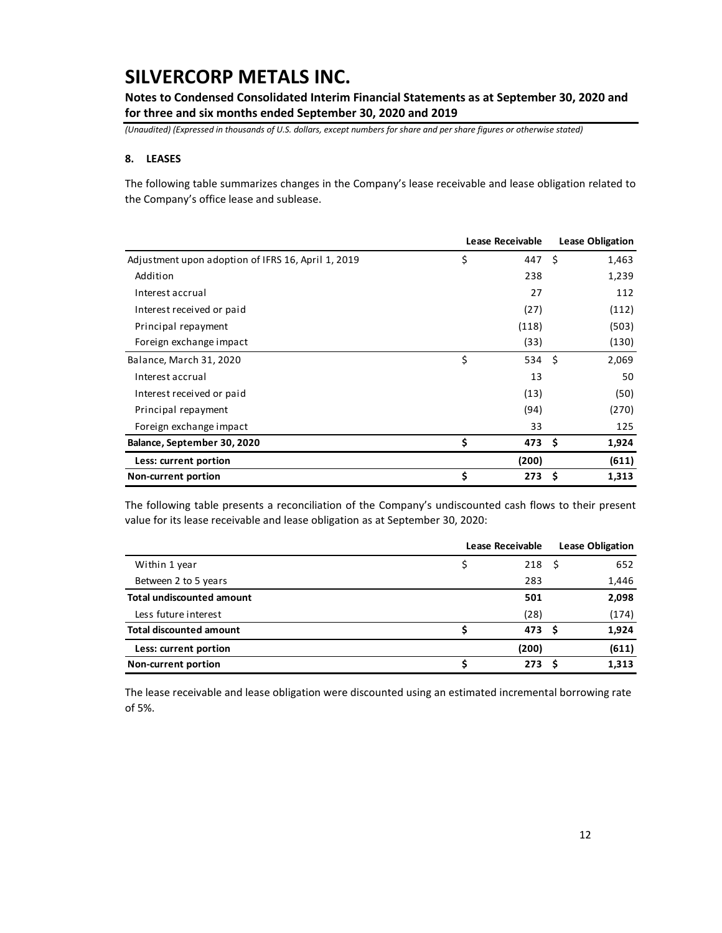**Notes to Condensed Consolidated Interim Financial Statements as at September 30, 2020 and for three and six months ended September 30, 2020 and 2019**

*(Unaudited) (Expressed in thousands of U.S. dollars, except numbers for share and per share figures or otherwise stated)*

### **8. LEASES**

The following table summarizes changes in the Company's lease receivable and lease obligation related to the Company's office lease and sublease.

|                                                    | Lease Receivable     | <b>Lease Obligation</b> |       |  |
|----------------------------------------------------|----------------------|-------------------------|-------|--|
| Adjustment upon adoption of IFRS 16, April 1, 2019 | \$<br>447 \$         |                         | 1,463 |  |
| Addition                                           | 238                  |                         | 1,239 |  |
| Interest accrual                                   | 27                   |                         | 112   |  |
| Interest received or paid                          | (27)                 |                         | (112) |  |
| Principal repayment                                | (118)                |                         | (503) |  |
| Foreign exchange impact                            | (33)                 |                         | (130) |  |
| Balance, March 31, 2020                            | \$<br>$534 \quad $5$ |                         | 2,069 |  |
| Interest accrual                                   | 13                   |                         | 50    |  |
| Interest received or paid                          | (13)                 |                         | (50)  |  |
| Principal repayment                                | (94)                 |                         | (270) |  |
| Foreign exchange impact                            | 33                   |                         | 125   |  |
| Balance, September 30, 2020                        | \$<br>473 \$         |                         | 1,924 |  |
| Less: current portion                              | (200)                |                         | (611) |  |
| Non-current portion                                | \$<br>273            | Ŝ                       | 1,313 |  |

The following table presents a reconciliation of the Company's undiscounted cash flows to their present value for its lease receivable and lease obligation as at September 30, 2020:

|                                  | <b>Lease Receivable</b> |  |       |  |  |  |
|----------------------------------|-------------------------|--|-------|--|--|--|
| Within 1 year                    | $218 \quad$ \$          |  | 652   |  |  |  |
| Between 2 to 5 years             | 283                     |  | 1,446 |  |  |  |
| <b>Total undiscounted amount</b> | 501                     |  | 2,098 |  |  |  |
| Less future interest             | (28)                    |  | (174) |  |  |  |
| <b>Total discounted amount</b>   | 473 S                   |  | 1,924 |  |  |  |
| Less: current portion            | (200)                   |  | (611) |  |  |  |
| Non-current portion              | 273                     |  | 1,313 |  |  |  |

The lease receivable and lease obligation were discounted using an estimated incremental borrowing rate of 5%.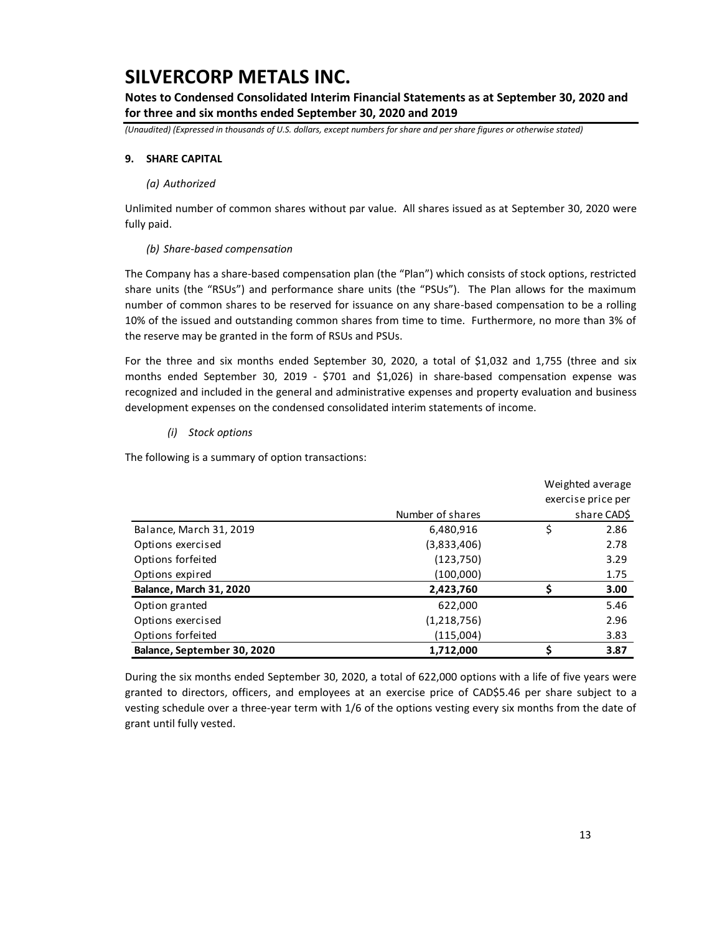**Notes to Condensed Consolidated Interim Financial Statements as at September 30, 2020 and for three and six months ended September 30, 2020 and 2019**

*(Unaudited) (Expressed in thousands of U.S. dollars, except numbers for share and per share figures or otherwise stated)*

### **9. SHARE CAPITAL**

#### *(a) Authorized*

Unlimited number of common shares without par value. All shares issued as at September 30, 2020 were fully paid.

### *(b) Share-based compensation*

The Company has a share-based compensation plan (the "Plan") which consists of stock options, restricted share units (the "RSUs") and performance share units (the "PSUs"). The Plan allows for the maximum number of common shares to be reserved for issuance on any share-based compensation to be a rolling 10% of the issued and outstanding common shares from time to time. Furthermore, no more than 3% of the reserve may be granted in the form of RSUs and PSUs.

For the three and six months ended September 30, 2020, a total of \$1,032 and 1,755 (three and six months ended September 30, 2019 - \$701 and \$1,026) in share-based compensation expense was recognized and included in the general and administrative expenses and property evaluation and business development expenses on the condensed consolidated interim statements of income.

### *(i) Stock options*

The following is a summary of option transactions:

|                             |                  | Weighted average   |
|-----------------------------|------------------|--------------------|
|                             |                  | exercise price per |
|                             | Number of shares | share CAD\$        |
| Balance, March 31, 2019     | 6,480,916        | \$<br>2.86         |
| Options exercised           | (3,833,406)      | 2.78               |
| Options forfeited           | (123, 750)       | 3.29               |
| Options expired             | (100,000)        | 1.75               |
| Balance, March 31, 2020     | 2,423,760        | 3.00               |
| Option granted              | 622,000          | 5.46               |
| Options exercised           | (1,218,756)      | 2.96               |
| Options forfeited           | (115,004)        | 3.83               |
| Balance, September 30, 2020 | 1,712,000        | 3.87               |

During the six months ended September 30, 2020, a total of 622,000 options with a life of five years were granted to directors, officers, and employees at an exercise price of CAD\$5.46 per share subject to a vesting schedule over a three-year term with 1/6 of the options vesting every six months from the date of grant until fully vested.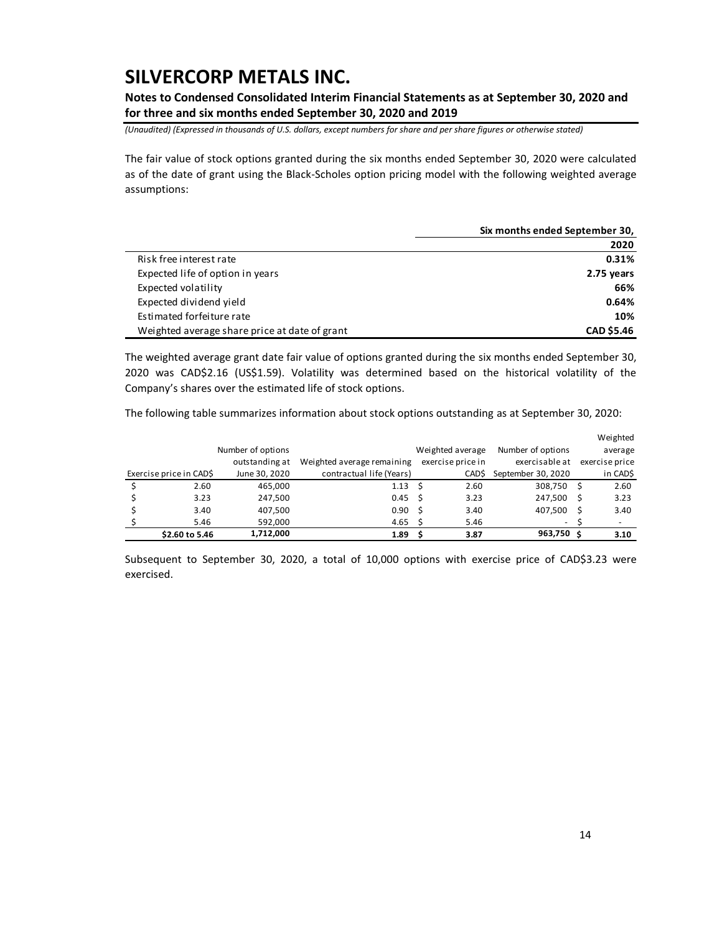**Notes to Condensed Consolidated Interim Financial Statements as at September 30, 2020 and for three and six months ended September 30, 2020 and 2019**

*(Unaudited) (Expressed in thousands of U.S. dollars, except numbers for share and per share figures or otherwise stated)*

The fair value of stock options granted during the six months ended September 30, 2020 were calculated as of the date of grant using the Black-Scholes option pricing model with the following weighted average assumptions:

|                                               | Six months ended September 30, |
|-----------------------------------------------|--------------------------------|
|                                               | 2020                           |
| Risk free interest rate                       | 0.31%                          |
| Expected life of option in years              | 2.75 years                     |
| Expected volatility                           | 66%                            |
| Expected dividend yield                       | 0.64%                          |
| Estimated forfeiture rate                     | 10%                            |
| Weighted average share price at date of grant | <b>CAD \$5.46</b>              |

The weighted average grant date fair value of options granted during the six months ended September 30, 2020 was CAD\$2.16 (US\$1.59). Volatility was determined based on the historical volatility of the Company's shares over the estimated life of stock options.

The following table summarizes information about stock options outstanding as at September 30, 2020:

|                         |                   |                            |   |                   |                    |    | Weighted       |
|-------------------------|-------------------|----------------------------|---|-------------------|--------------------|----|----------------|
|                         | Number of options |                            |   | Weighted average  | Number of options  |    | average        |
|                         | outstanding at    | Weighted average remaining |   | exercise price in | exercisable at     |    | exercise price |
| Exercise price in CAD\$ | June 30, 2020     | contractual life (Years)   |   | CAD\$             | September 30, 2020 |    | in CAD\$       |
| 2.60                    | 465,000           | 1.13                       | S | 2.60              | 308,750            | S  | 2.60           |
| 3.23                    | 247,500           | 0.45                       | S | 3.23              | 247,500            | S  | 3.23           |
| 3.40                    | 407,500           | 0.90                       | S | 3.40              | 407,500            |    | 3.40           |
| 5.46                    | 592,000           | 4.65                       |   | 5.46              | ٠                  |    |                |
| \$2.60 to 5.46          | 1,712,000         | 1.89                       |   | 3.87              | 963,750            | .S | 3.10           |

Subsequent to September 30, 2020, a total of 10,000 options with exercise price of CAD\$3.23 were exercised.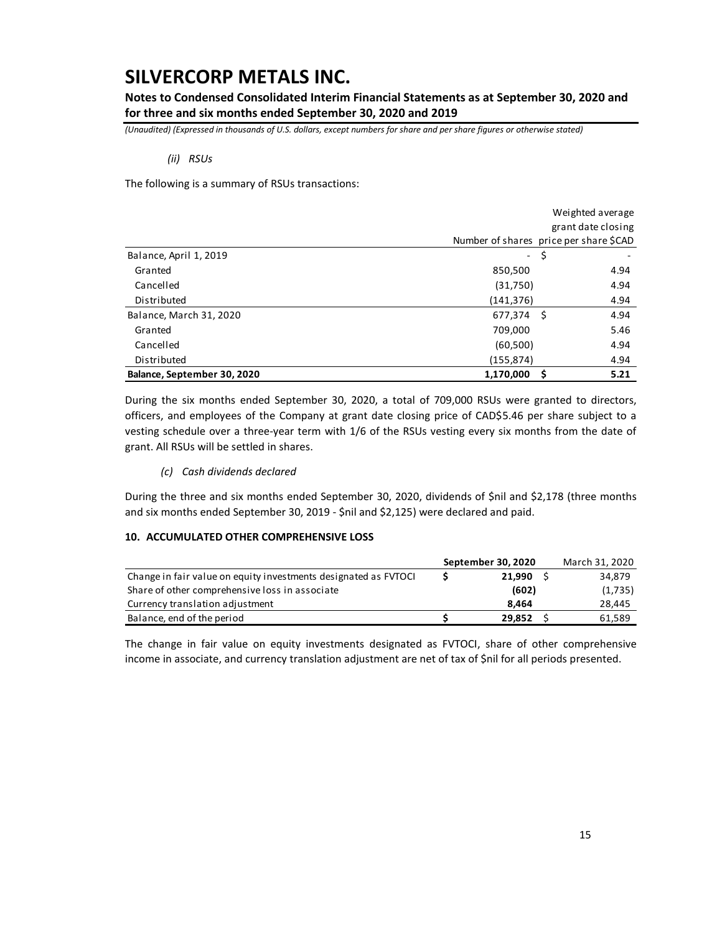**Notes to Condensed Consolidated Interim Financial Statements as at September 30, 2020 and for three and six months ended September 30, 2020 and 2019**

*(Unaudited) (Expressed in thousands of U.S. dollars, except numbers for share and per share figures or otherwise stated)*

#### *(ii) RSUs*

The following is a summary of RSUs transactions:

|                             | Weighted average    |                                        |  |  |  |  |
|-----------------------------|---------------------|----------------------------------------|--|--|--|--|
|                             |                     | grant date closing                     |  |  |  |  |
|                             |                     | Number of shares price per share \$CAD |  |  |  |  |
| Balance, April 1, 2019      | $\omega_{\rm{max}}$ | \$                                     |  |  |  |  |
| Granted                     | 850,500             | 4.94                                   |  |  |  |  |
| Cancelled                   | (31,750)            | 4.94                                   |  |  |  |  |
| Distributed                 | (141, 376)          | 4.94                                   |  |  |  |  |
| Balance, March 31, 2020     | 677,374 \$          | 4.94                                   |  |  |  |  |
| Granted                     | 709,000             | 5.46                                   |  |  |  |  |
| Cancelled                   | (60, 500)           | 4.94                                   |  |  |  |  |
| Distributed                 | (155, 874)          | 4.94                                   |  |  |  |  |
| Balance, September 30, 2020 | 1,170,000           | 5.21<br>S                              |  |  |  |  |

During the six months ended September 30, 2020, a total of 709,000 RSUs were granted to directors, officers, and employees of the Company at grant date closing price of CAD\$5.46 per share subject to a vesting schedule over a three-year term with 1/6 of the RSUs vesting every six months from the date of grant. All RSUs will be settled in shares.

### *(c) Cash dividends declared*

During the three and six months ended September 30, 2020, dividends of \$nil and \$2,178 (three months and six months ended September 30, 2019 - \$nil and \$2,125) were declared and paid.

#### **10. ACCUMULATED OTHER COMPREHENSIVE LOSS**

|                                                                 | September 30, 2020 | March 31, 2020 |
|-----------------------------------------------------------------|--------------------|----------------|
| Change in fair value on equity investments designated as FVTOCI | 21.990             | 34.879         |
| Share of other comprehensive loss in associate                  | (602)              | (1,735)        |
| Currency translation adjustment                                 | 8.464              | 28,445         |
| Balance, end of the period                                      | 29.852             | 61,589         |

The change in fair value on equity investments designated as FVTOCI, share of other comprehensive income in associate, and currency translation adjustment are net of tax of \$nil for all periods presented.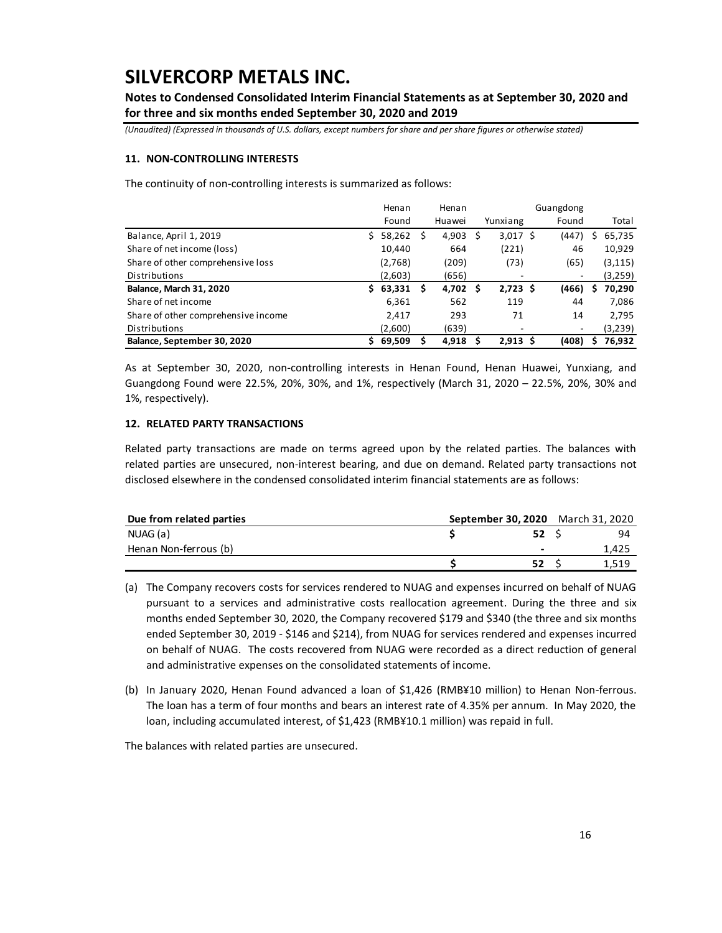**Notes to Condensed Consolidated Interim Financial Statements as at September 30, 2020 and for three and six months ended September 30, 2020 and 2019**

*(Unaudited) (Expressed in thousands of U.S. dollars, except numbers for share and per share figures or otherwise stated)*

#### **11. NON-CONTROLLING INTERESTS**

The continuity of non-controlling interests is summarized as follows:

|                                     |    | Henan    |   | Henan  | Guangdong |            |  |                          |   |          |
|-------------------------------------|----|----------|---|--------|-----------|------------|--|--------------------------|---|----------|
|                                     |    | Found    |   | Huawei |           | Yunxiang   |  | Found                    |   | Total    |
| Balance, April 1, 2019              | S. | 58,262   | S | 4,903  | S         | $3,017$ \$ |  | (447)                    | s | 65,735   |
| Share of net income (loss)          |    | 10,440   |   | 664    |           | (221)      |  | 46                       |   | 10,929   |
| Share of other comprehensive loss   |    | (2,768)  |   | (209)  |           | (73)       |  | (65)                     |   | (3, 115) |
| Distributions                       |    | (2,603)  |   | (656)  |           | ۰          |  | $\overline{\phantom{a}}$ |   | (3,259)  |
| <b>Balance, March 31, 2020</b>      |    | \$63,331 | S | 4,702  | S         | $2,723$ \$ |  | (466)                    | S | 70,290   |
| Share of net income                 |    | 6,361    |   | 562    |           | 119        |  | 44                       |   | 7,086    |
| Share of other comprehensive income |    | 2,417    |   | 293    |           | 71         |  | 14                       |   | 2.795    |
| Distributions                       |    | (2,600)  |   | (639)  |           | ۰          |  | $\overline{\phantom{a}}$ |   | (3,239)  |
| Balance, September 30, 2020         | Ś. | 69,509   |   | 4,918  | S         | $2,913$ \$ |  | (408)                    | s | 76,932   |

As at September 30, 2020, non-controlling interests in Henan Found, Henan Huawei, Yunxiang, and Guangdong Found were 22.5%, 20%, 30%, and 1%, respectively (March 31, 2020 – 22.5%, 20%, 30% and 1%, respectively).

### **12. RELATED PARTY TRANSACTIONS**

Related party transactions are made on terms agreed upon by the related parties. The balances with related parties are unsecured, non-interest bearing, and due on demand. Related party transactions not disclosed elsewhere in the condensed consolidated interim financial statements are as follows:

| Due from related parties |  |  | September 30, 2020 March 31, 2020 |       |
|--------------------------|--|--|-----------------------------------|-------|
| NUAG (a)                 |  |  | 52 <sup>5</sup>                   | 94    |
| Henan Non-ferrous (b)    |  |  | $\overline{\phantom{0}}$          | 1,425 |
|                          |  |  | 52                                | 1.519 |
| $\cdots$ $\cdots$        |  |  | the company's company's company's |       |

(a) The Company recovers costs for services rendered to NUAG and expenses incurred on behalf of NUAG pursuant to a services and administrative costs reallocation agreement. During the three and six months ended September 30, 2020, the Company recovered \$179 and \$340 (the three and six months ended September 30, 2019 - \$146 and \$214), from NUAG for services rendered and expenses incurred on behalf of NUAG. The costs recovered from NUAG were recorded as a direct reduction of general and administrative expenses on the consolidated statements of income.

(b) In January 2020, Henan Found advanced a loan of \$1,426 (RMB¥10 million) to Henan Non-ferrous. The loan has a term of four months and bears an interest rate of 4.35% per annum. In May 2020, the loan, including accumulated interest, of \$1,423 (RMB¥10.1 million) was repaid in full.

The balances with related parties are unsecured.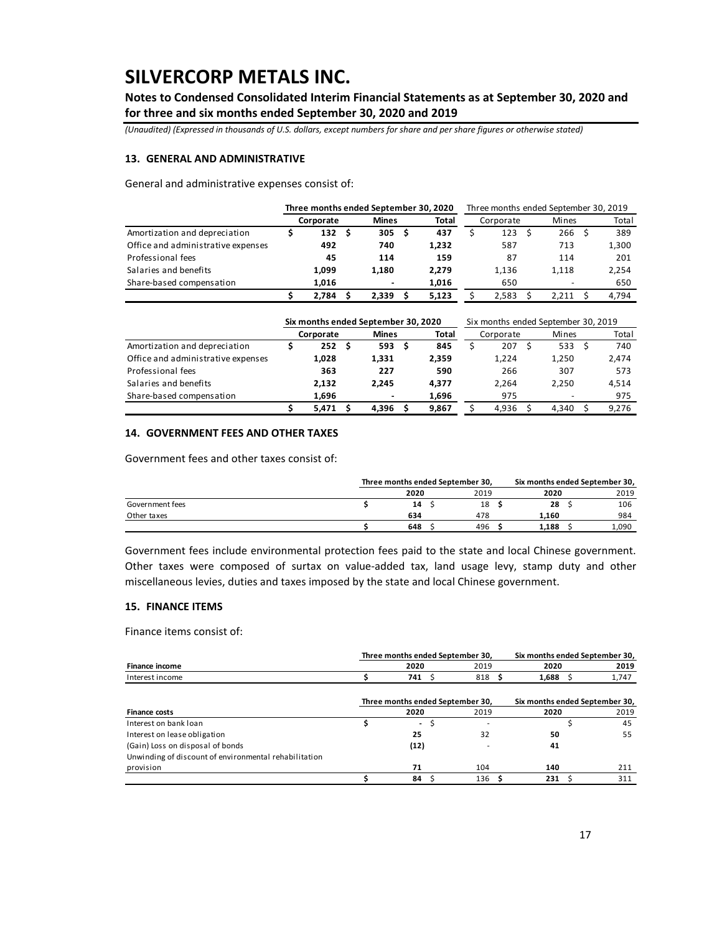**Notes to Condensed Consolidated Interim Financial Statements as at September 30, 2020 and for three and six months ended September 30, 2020 and 2019**

*(Unaudited) (Expressed in thousands of U.S. dollars, except numbers for share and per share figures or otherwise stated)*

#### **13. GENERAL AND ADMINISTRATIVE**

General and administrative expenses consist of:

|                                    | Three months ended September 30, 2020 |  |                | Three months ended September 30, 2019 |       |  |           |  |       |  |       |
|------------------------------------|---------------------------------------|--|----------------|---------------------------------------|-------|--|-----------|--|-------|--|-------|
|                                    | Corporate                             |  | <b>Mines</b>   |                                       | Total |  | Corporate |  | Mines |  | Total |
| Amortization and depreciation      | 132                                   |  | 305            |                                       | 437   |  | 123       |  | 266   |  | 389   |
| Office and administrative expenses | 492                                   |  | 740            |                                       | 1.232 |  | 587       |  | 713   |  | 1,300 |
| Professional fees                  | 45                                    |  | 114            |                                       | 159   |  | 87        |  | 114   |  | 201   |
| Salaries and benefits              | 1.099                                 |  | 1.180          |                                       | 2.279 |  | 1.136     |  | 1.118 |  | 2,254 |
| Share-based compensation           | 1.016                                 |  | $\blacksquare$ |                                       | 1.016 |  | 650       |  |       |  | 650   |
|                                    | 2.784                                 |  | 2.339          |                                       | 5.123 |  | 2.583     |  | 2.211 |  | 4.794 |

|                                    | Six months ended September 30, 2020 |              |  | Six months ended September 30, 2019 |  |           |  |       |  |       |  |  |
|------------------------------------|-------------------------------------|--------------|--|-------------------------------------|--|-----------|--|-------|--|-------|--|--|
|                                    | Corporate                           | <b>Mines</b> |  | Total                               |  | Corporate |  | Mines |  | Total |  |  |
| Amortization and depreciation      | 252                                 | 593          |  | 845                                 |  | 207       |  | 533   |  | 740   |  |  |
| Office and administrative expenses | 1,028                               | 1.331        |  | 2,359                               |  | 1.224     |  | 1,250 |  | 2,474 |  |  |
| Professional fees                  | 363                                 | 227          |  | 590                                 |  | 266       |  | 307   |  | 573   |  |  |
| Salaries and benefits              | 2.132                               | 2.245        |  | 4.377                               |  | 2.264     |  | 2.250 |  | 4,514 |  |  |
| Share-based compensation           | 1,696                               |              |  | 1,696                               |  | 975       |  |       |  | 975   |  |  |
|                                    | 5.471                               | 4.396        |  | 9.867                               |  | 4.936     |  | 4.340 |  | 9.276 |  |  |

### **14. GOVERNMENT FEES AND OTHER TAXES**

Government fees and other taxes consist of:

| Government fees and other taxes consist of: |      |                                  |       |                                |
|---------------------------------------------|------|----------------------------------|-------|--------------------------------|
|                                             |      | Three months ended September 30, |       | Six months ended September 30, |
|                                             | 2020 | 2019                             | 2020  | 2019                           |
| Government fees                             | 14   | 18                               | 28    | 106                            |
| Other taxes                                 | 634  | 478                              | 1.160 | 984                            |
|                                             | 648  | 496                              | 1,188 | 1.090                          |

Government fees include environmental protection fees paid to the state and local Chinese government. Other taxes were composed of surtax on value-added tax, land usage levy, stamp duty and other miscellaneous levies, duties and taxes imposed by the state and local Chinese government.

#### **15. FINANCE ITEMS**

Finance items consist of:

|                                                       | Three months ended September 30, |    | Six months ended September 30, |                                |  |       |  |  |
|-------------------------------------------------------|----------------------------------|----|--------------------------------|--------------------------------|--|-------|--|--|
| <b>Finance income</b>                                 | 2020                             |    | 2019                           | 2020                           |  | 2019  |  |  |
| Interest income                                       | 741 S                            |    | 818 S                          | $1,688$ \$                     |  | 1,747 |  |  |
|                                                       | Three months ended September 30, |    |                                | Six months ended September 30, |  |       |  |  |
| <b>Finance costs</b>                                  | 2020                             |    | 2019                           | 2020                           |  | 2019  |  |  |
| Interest on bank loan                                 | $\overline{\phantom{a}}$         | \$ |                                |                                |  | 45    |  |  |
| Interest on lease obligation                          | 25                               |    | 32                             | 50                             |  | 55    |  |  |
| (Gain) Loss on disposal of bonds                      | (12)                             |    |                                | 41                             |  |       |  |  |
| Unwinding of discount of environmental rehabilitation |                                  |    |                                |                                |  |       |  |  |
| provision                                             | 71                               |    | 104                            | 140                            |  | 211   |  |  |
|                                                       | 84                               |    | 136                            | 231S                           |  | 311   |  |  |
|                                                       |                                  |    |                                |                                |  |       |  |  |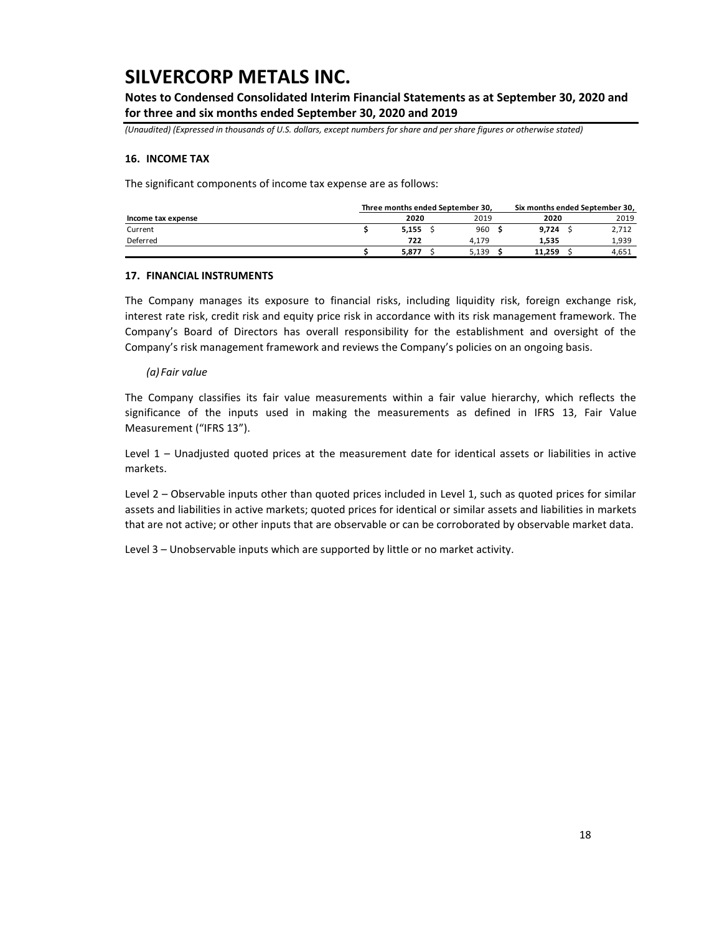**Notes to Condensed Consolidated Interim Financial Statements as at September 30, 2020 and for three and six months ended September 30, 2020 and 2019**

*(Unaudited) (Expressed in thousands of U.S. dollars, except numbers for share and per share figures or otherwise stated)*

#### **16. INCOME TAX**

The significant components of income tax expense are as follows:

|                    | Three months ended September 30, |  | Six months ended September 30, |        |  |       |  |  |
|--------------------|----------------------------------|--|--------------------------------|--------|--|-------|--|--|
| Income tax expense | 2020                             |  | 2019                           | 2020   |  | 2019  |  |  |
| Current            | 5.155                            |  | 960                            | 9,724  |  | 2.712 |  |  |
| Deferred           | 722                              |  | 4.179                          | 1.535  |  | 1,939 |  |  |
|                    | 5.877                            |  | 5.139                          | 11.259 |  | 4.651 |  |  |

#### **17. FINANCIAL INSTRUMENTS**

The Company manages its exposure to financial risks, including liquidity risk, foreign exchange risk, interest rate risk, credit risk and equity price risk in accordance with its risk management framework. The Company's Board of Directors has overall responsibility for the establishment and oversight of the Company's risk management framework and reviews the Company's policies on an ongoing basis.

#### *(a) Fair value*

The Company classifies its fair value measurements within a fair value hierarchy, which reflects the significance of the inputs used in making the measurements as defined in IFRS 13, Fair Value Measurement ("IFRS 13").

Level 1 – Unadjusted quoted prices at the measurement date for identical assets or liabilities in active markets.

Level 2 – Observable inputs other than quoted prices included in Level 1, such as quoted prices for similar assets and liabilities in active markets; quoted prices for identical or similar assets and liabilities in markets that are not active; or other inputs that are observable or can be corroborated by observable market data.

Level 3 – Unobservable inputs which are supported by little or no market activity.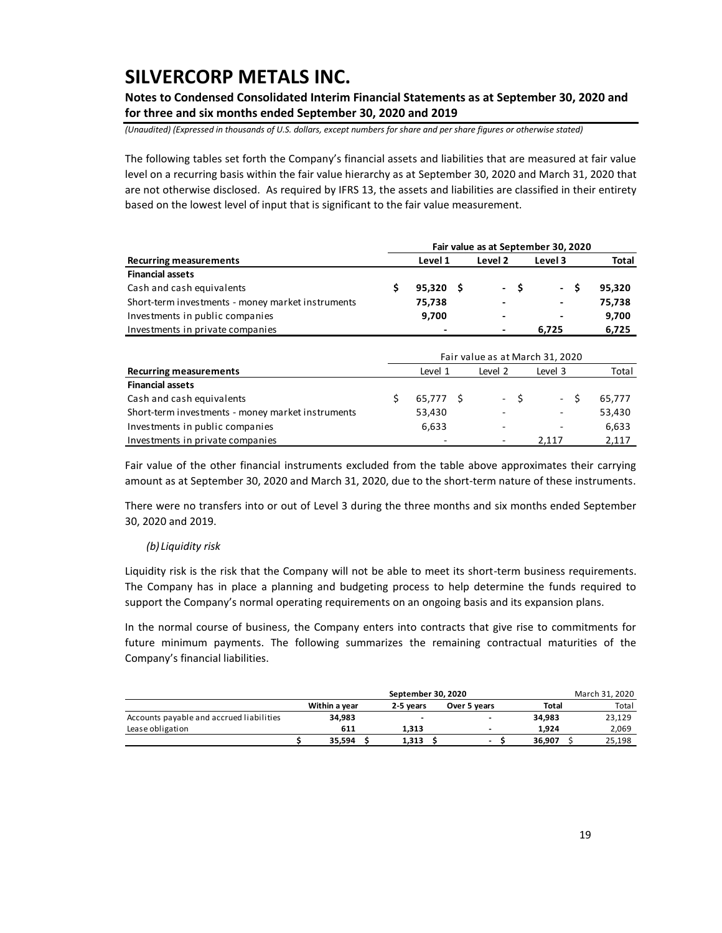**Notes to Condensed Consolidated Interim Financial Statements as at September 30, 2020 and for three and six months ended September 30, 2020 and 2019**

*(Unaudited) (Expressed in thousands of U.S. dollars, except numbers for share and per share figures or otherwise stated)*

The following tables set forth the Company's financial assets and liabilities that are measured at fair value level on a recurring basis within the fair value hierarchy as at September 30, 2020 and March 31, 2020 that are not otherwise disclosed. As required by IFRS 13, the assets and liabilities are classified in their entirety based on the lowest level of input that is significant to the fair value measurement.

|                                                   | Fair value as at September 30, 2020 |  |         |      |                                 |  |              |  |  |  |  |  |  |
|---------------------------------------------------|-------------------------------------|--|---------|------|---------------------------------|--|--------------|--|--|--|--|--|--|
| <b>Recurring measurements</b>                     | Level 1                             |  | Level 2 |      | Level 3                         |  | <b>Total</b> |  |  |  |  |  |  |
| <b>Financial assets</b>                           |                                     |  |         |      |                                 |  |              |  |  |  |  |  |  |
| Cash and cash equivalents                         | \$<br>$95,320$ \$                   |  |         | - \$ | - \$                            |  | 95,320       |  |  |  |  |  |  |
| Short-term investments - money market instruments | 75,738                              |  |         |      |                                 |  | 75,738       |  |  |  |  |  |  |
| Investments in public companies                   | 9,700                               |  |         |      |                                 |  | 9,700        |  |  |  |  |  |  |
| Investments in private companies                  |                                     |  |         |      | 6,725                           |  | 6,725        |  |  |  |  |  |  |
|                                                   |                                     |  |         |      |                                 |  |              |  |  |  |  |  |  |
|                                                   |                                     |  |         |      | Fair value as at March 31, 2020 |  |              |  |  |  |  |  |  |
| <b>Recurring measurements</b>                     | Level 1                             |  | Level 2 |      | Level 3                         |  | Total        |  |  |  |  |  |  |
| <b>Financial assets</b>                           |                                     |  |         |      |                                 |  |              |  |  |  |  |  |  |
| Cash and cash equivalents                         | \$<br>65,777 \$                     |  | $\sim$  | - \$ | - \$                            |  | 65,777       |  |  |  |  |  |  |
| Short-term investments - money market instruments | 53,430                              |  |         |      |                                 |  | 53,430       |  |  |  |  |  |  |
| Investments in public companies                   | 6,633                               |  |         |      |                                 |  | 6,633        |  |  |  |  |  |  |
| Investments in private companies                  |                                     |  |         |      | 2.117                           |  | 2,117        |  |  |  |  |  |  |

Fair value of the other financial instruments excluded from the table above approximates their carrying amount as at September 30, 2020 and March 31, 2020, due to the short-term nature of these instruments.

There were no transfers into or out of Level 3 during the three months and six months ended September 30, 2020 and 2019.

### *(b) Liquidity risk*

Liquidity risk is the risk that the Company will not be able to meet its short-term business requirements. The Company has in place a planning and budgeting process to help determine the funds required to support the Company's normal operating requirements on an ongoing basis and its expansion plans.

In the normal course of business, the Company enters into contracts that give rise to commitments for future minimum payments. The following summarizes the remaining contractual maturities of the Company's financial liabilities.

|                                          |               | March 31, 2020 |              |        |  |        |
|------------------------------------------|---------------|----------------|--------------|--------|--|--------|
|                                          | Within a vear | 2-5 years      | Over 5 years | Total  |  | Total  |
| Accounts payable and accrued liabilities | 34.983        |                |              | 34.983 |  | 23,129 |
| Lease obligation                         | 611           | 1.313          |              | 1.924  |  | 2,069  |
|                                          | 35.594        | 1.313          | ۰.           | 36.907 |  | 25.198 |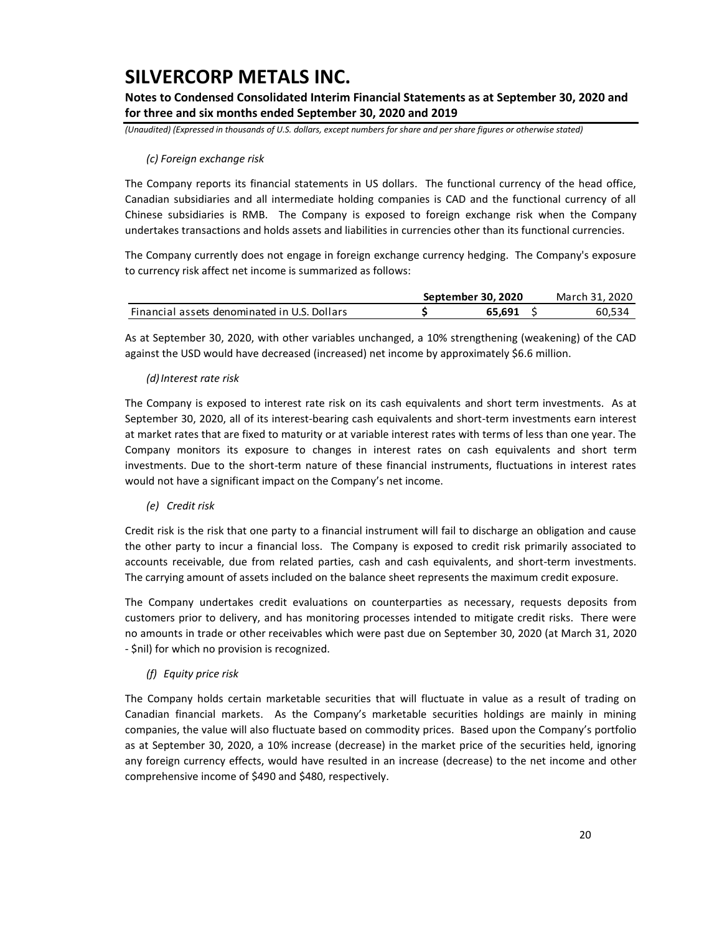**Notes to Condensed Consolidated Interim Financial Statements as at September 30, 2020 and for three and six months ended September 30, 2020 and 2019**

*(Unaudited) (Expressed in thousands of U.S. dollars, except numbers for share and per share figures or otherwise stated)*

### *(c) Foreign exchange risk*

The Company reports its financial statements in US dollars. The functional currency of the head office, Canadian subsidiaries and all intermediate holding companies is CAD and the functional currency of all Chinese subsidiaries is RMB. The Company is exposed to foreign exchange risk when the Company undertakes transactions and holds assets and liabilities in currencies other than its functional currencies.

The Company currently does not engage in foreign exchange currency hedging. The Company's exposure to currency risk affect net income is summarized as follows:

|                                              | September 30, 2020 | March 31, 2020 |
|----------------------------------------------|--------------------|----------------|
| Financial assets denominated in U.S. Dollars | 65.691             | 60.534         |

As at September 30, 2020, with other variables unchanged, a 10% strengthening (weakening) of the CAD against the USD would have decreased (increased) net income by approximately \$6.6 million.

### *(d)Interest rate risk*

The Company is exposed to interest rate risk on its cash equivalents and short term investments. As at September 30, 2020, all of its interest-bearing cash equivalents and short-term investments earn interest at market rates that are fixed to maturity or at variable interest rates with terms of less than one year. The Company monitors its exposure to changes in interest rates on cash equivalents and short term investments. Due to the short-term nature of these financial instruments, fluctuations in interest rates would not have a significant impact on the Company's net income.

### *(e) Credit risk*

Credit risk is the risk that one party to a financial instrument will fail to discharge an obligation and cause the other party to incur a financial loss. The Company is exposed to credit risk primarily associated to accounts receivable, due from related parties, cash and cash equivalents, and short-term investments. The carrying amount of assets included on the balance sheet represents the maximum credit exposure.

The Company undertakes credit evaluations on counterparties as necessary, requests deposits from customers prior to delivery, and has monitoring processes intended to mitigate credit risks. There were no amounts in trade or other receivables which were past due on September 30, 2020 (at March 31, 2020 - \$nil) for which no provision is recognized.

### *(f) Equity price risk*

The Company holds certain marketable securities that will fluctuate in value as a result of trading on Canadian financial markets. As the Company's marketable securities holdings are mainly in mining companies, the value will also fluctuate based on commodity prices. Based upon the Company's portfolio as at September 30, 2020, a 10% increase (decrease) in the market price of the securities held, ignoring any foreign currency effects, would have resulted in an increase (decrease) to the net income and other comprehensive income of \$490 and \$480, respectively.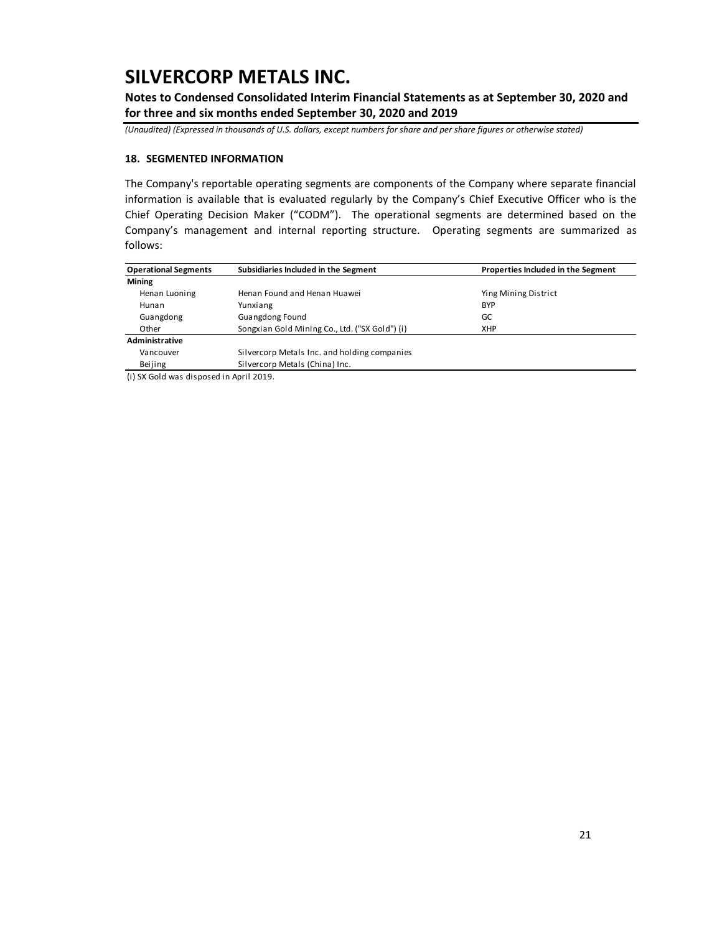**Notes to Condensed Consolidated Interim Financial Statements as at September 30, 2020 and for three and six months ended September 30, 2020 and 2019**

*(Unaudited) (Expressed in thousands of U.S. dollars, except numbers for share and per share figures or otherwise stated)*

### **18. SEGMENTED INFORMATION**

The Company's reportable operating segments are components of the Company where separate financial information is available that is evaluated regularly by the Company's Chief Executive Officer who is the Chief Operating Decision Maker ("CODM"). The operational segments are determined based on the Company's management and internal reporting structure. Operating segments are summarized as follows:

| <b>Operational Segments</b> | Subsidiaries Included in the Segment           | Properties Included in the Segment |
|-----------------------------|------------------------------------------------|------------------------------------|
| <b>Mining</b>               |                                                |                                    |
| Henan Luoning               | Henan Found and Henan Huawei                   | Ying Mining District               |
| Hunan                       | Yunxiang                                       | <b>BYP</b>                         |
| Guangdong                   | <b>Guangdong Found</b>                         | GC                                 |
| Other                       | Songxian Gold Mining Co., Ltd. ("SX Gold") (i) | XHP                                |
| Administrative              |                                                |                                    |
| Vancouver                   | Silvercorp Metals Inc. and holding companies   |                                    |
| Beijing                     | Silvercorp Metals (China) Inc.                 |                                    |

(i) SX Gold was disposed in April 2019.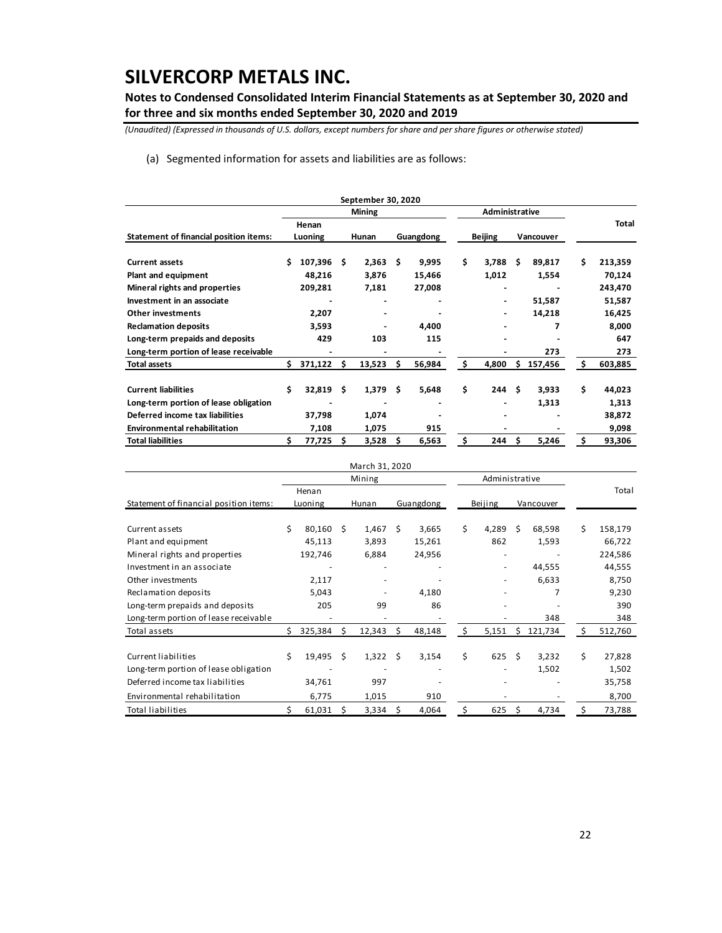**Notes to Condensed Consolidated Interim Financial Statements as at September 30, 2020 and for three and six months ended September 30, 2020 and 2019**

*(Unaudited) (Expressed in thousands of U.S. dollars, except numbers for share and per share figures or otherwise stated)*

(a) Segmented information for assets and liabilities are as follows:

|                                        |    |         |      | September 30, 2020 |     |           |    |                |      |           |    |         |
|----------------------------------------|----|---------|------|--------------------|-----|-----------|----|----------------|------|-----------|----|---------|
|                                        |    |         |      | <b>Mining</b>      |     |           |    | Administrative |      |           |    |         |
|                                        |    | Henan   |      |                    |     |           |    |                |      |           |    | Total   |
| Statement of financial position items: |    | Luoning |      | Hunan              |     | Guangdong |    | <b>Beijing</b> |      | Vancouver |    |         |
| <b>Current assets</b>                  |    | 107,396 | Ŝ.   | 2,363              | - Ś | 9,995     | \$ | 3,788          | Ŝ    | 89,817    | Ś. | 213,359 |
| Plant and equipment                    |    | 48,216  |      | 3,876              |     | 15,466    |    | 1,012          |      | 1,554     |    | 70,124  |
| Mineral rights and properties          |    | 209,281 |      | 7,181              |     | 27,008    |    |                |      |           |    | 243,470 |
| Investment in an associate             |    |         |      |                    |     |           |    | ۰              |      | 51,587    |    | 51,587  |
| <b>Other investments</b>               |    | 2,207   |      |                    |     |           |    | ۰              |      | 14,218    |    | 16,425  |
| <b>Reclamation deposits</b>            |    | 3,593   |      |                    |     | 4,400     |    |                |      |           |    | 8,000   |
| Long-term prepaids and deposits        |    | 429     |      | 103                |     | 115       |    |                |      |           |    | 647     |
| Long-term portion of lease receivable  |    |         |      |                    |     |           |    |                |      | 273       |    | 273     |
| <b>Total assets</b>                    | Ś. | 371,122 |      | 13,523             | S   | 56,984    |    | 4,800          | Š.   | 157,456   | Ŝ. | 603,885 |
| <b>Current liabilities</b>             | Ś  | 32,819  | - \$ | 1,379              | - Ś | 5,648     | \$ | 244            | - \$ | 3,933     | \$ | 44,023  |
| Long-term portion of lease obligation  |    |         |      |                    |     |           |    |                |      | 1,313     |    | 1,313   |
| Deferred income tax liabilities        |    | 37,798  |      | 1,074              |     |           |    |                |      |           |    | 38,872  |
| <b>Environmental rehabilitation</b>    |    | 7,108   |      | 1,075              |     | 915       |    |                |      |           |    | 9,098   |
| <b>Total liabilities</b>               |    | 77,725  | Ŝ    | 3,528              | \$  | 6,563     | Ŝ. | 244            | Ŝ.   | 5,246     | Ś. | 93,306  |

|                                        |    |         |      | March 31, 2020 |      |           |    |                          |    |           |    |         |
|----------------------------------------|----|---------|------|----------------|------|-----------|----|--------------------------|----|-----------|----|---------|
|                                        |    |         |      | Mining         |      |           |    | Administrative           |    |           |    |         |
|                                        |    | Henan   |      |                |      |           |    |                          |    |           |    | Total   |
| Statement of financial position items: |    | Luoning |      | Hunan          |      | Guangdong |    | Beijing                  |    | Vancouver |    |         |
|                                        |    |         |      |                |      |           |    |                          |    |           |    |         |
| Current assets                         | Ś  | 80,160  | - \$ | 1,467          | - \$ | 3,665     | \$ | 4,289                    | Ŝ. | 68,598    | Ś. | 158,179 |
| Plant and equipment                    |    | 45,113  |      | 3,893          |      | 15,261    |    | 862                      |    | 1,593     |    | 66,722  |
| Mineral rights and properties          |    | 192,746 |      | 6,884          |      | 24,956    |    | $\overline{\phantom{a}}$ |    |           |    | 224,586 |
| Investment in an associate             |    |         |      |                |      |           |    |                          |    | 44,555    |    | 44,555  |
| Other investments                      |    | 2,117   |      |                |      |           |    | ٠                        |    | 6,633     |    | 8,750   |
| Reclamation deposits                   |    | 5,043   |      |                |      | 4,180     |    |                          |    |           |    | 9,230   |
| Long-term prepaids and deposits        |    | 205     |      | 99             |      | 86        |    |                          |    |           |    | 390     |
| Long-term portion of lease receivable  |    |         |      |                |      |           |    |                          |    | 348       |    | 348     |
| Total assets                           | S. | 325,384 | S    | 12,343         | S.   | 48,148    | s  | 5,151                    | S  | 121,734   | S. | 512,760 |
| Current liabilities                    | Ś. | 19,495  | - Ś  | 1,322          | - Ś  | 3,154     | \$ | 625                      | Ŝ. | 3,232     | Ś. | 27,828  |
| Long-term portion of lease obligation  |    |         |      |                |      |           |    |                          |    | 1,502     |    | 1,502   |
| Deferred income tax liabilities        |    | 34,761  |      | 997            |      |           |    |                          |    |           |    | 35,758  |
| Environmental rehabilitation           |    | 6,775   |      | 1,015          |      | 910       |    |                          |    |           |    | 8,700   |
| Total liabilities                      |    | 61,031  |      | 3,334          | -S   | 4,064     |    | 625                      | S  | 4,734     |    | 73,788  |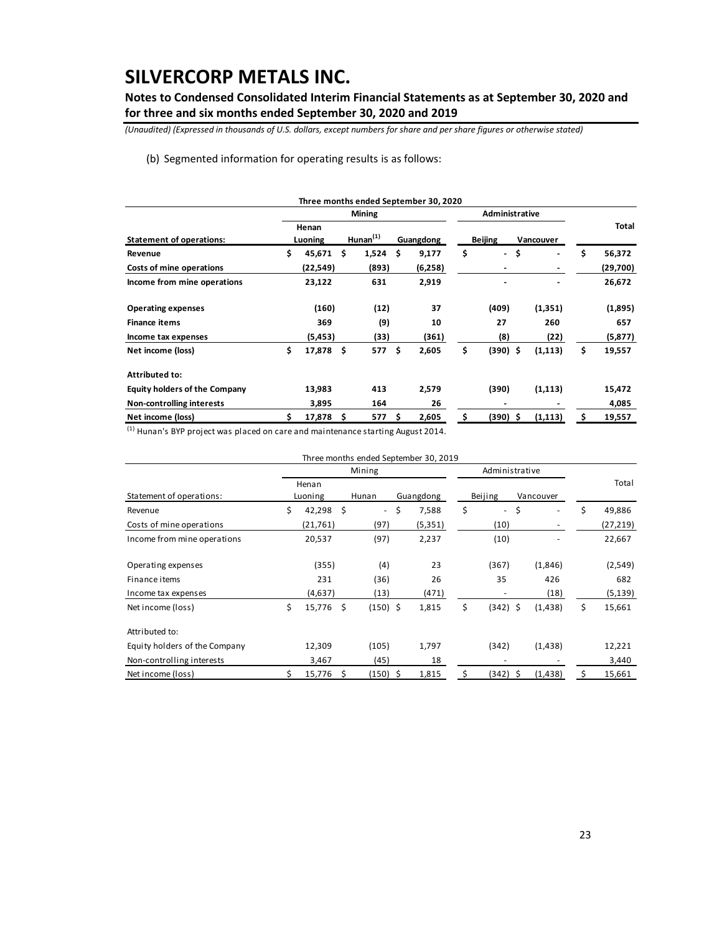**Notes to Condensed Consolidated Interim Financial Statements as at September 30, 2020 and for three and six months ended September 30, 2020 and 2019**

*(Unaudited) (Expressed in thousands of U.S. dollars, except numbers for share and per share figures or otherwise stated)*

(b) Segmented information for operating results is as follows:

|                                      |                  |          |     | <b>Mining</b>         |    |           |                | Administrative |           |          |    |              |
|--------------------------------------|------------------|----------|-----|-----------------------|----|-----------|----------------|----------------|-----------|----------|----|--------------|
| <b>Statement of operations:</b>      | Henan<br>Luoning |          |     | Hunnan <sup>(1)</sup> |    | Guangdong | <b>Beijing</b> |                | Vancouver |          |    | <b>Total</b> |
| Revenue                              | \$               | 45,671   | Ŝ.  | 1,524                 | Ŝ. | 9,177     | \$             | $\blacksquare$ | \$        | ä,       | \$ | 56,372       |
| Costs of mine operations             |                  | (22,549) |     | (893)                 |    | (6,258)   |                |                |           |          |    | (29,700)     |
| Income from mine operations          |                  | 23,122   |     | 631                   |    | 2,919     |                |                |           |          |    | 26,672       |
| <b>Operating expenses</b>            |                  | (160)    |     | (12)                  |    | 37        |                | (409)          |           | (1, 351) |    | (1,895)      |
| <b>Finance items</b>                 |                  | 369      |     | (9)                   |    | 10        |                | 27             |           | 260      |    | 657          |
| Income tax expenses                  |                  | (5, 453) |     | (33)                  |    | (361)     |                | (8)            |           | (22)     |    | (5, 877)     |
| Net income (loss)                    | \$               | 17,878   | -\$ | 577                   | Ŝ. | 2,605     | \$             | $(390)$ \$     |           | (1, 113) | \$ | 19,557       |
| <b>Attributed to:</b>                |                  |          |     |                       |    |           |                |                |           |          |    |              |
| <b>Equity holders of the Company</b> |                  | 13,983   |     | 413                   |    | 2,579     |                | (390)          |           | (1, 113) |    | 15,472       |
| Non-controlling interests            |                  | 3,895    |     | 164                   |    | 26        |                | -              |           |          |    | 4,085        |
| Net income (loss)                    |                  | 17,878   | -\$ | 577                   | S  | 2,605     | \$             | $(390)$ \$     |           | (1, 113) | s  | 19,557       |

(1) Hunan's BYP project was placed on care and maintenance starting August 2014.

|                               |              |      |                | Three months ended September 30, 2019 |                                |           |    |           |
|-------------------------------|--------------|------|----------------|---------------------------------------|--------------------------------|-----------|----|-----------|
|                               |              |      | Mining         |                                       | Administrative                 |           |    |           |
|                               | Henan        |      |                |                                       |                                |           |    | Total     |
| Statement of operations:      | Luoning      |      | Hunan          | Guangdong                             | Beijing                        | Vancouver |    |           |
| Revenue                       | \$<br>42,298 | Ŝ.   | $\blacksquare$ | \$<br>7,588                           | \$<br>$\overline{\phantom{a}}$ | \$        | Ś  | 49,886    |
| Costs of mine operations      | (21, 761)    |      | (97)           | (5, 351)                              | (10)                           |           |    | (27, 219) |
| Income from mine operations   | 20,537       |      | (97)           | 2,237                                 | (10)                           |           |    | 22,667    |
| Operating expenses            | (355)        |      | (4)            | 23                                    | (367)                          | (1,846)   |    | (2,549)   |
| Finance items                 | 231          |      | (36)           | 26                                    | 35                             | 426       |    | 682       |
| Income tax expenses           | (4,637)      |      | (13)           | (471)                                 | ٠                              | (18)      |    | (5, 139)  |
| Net income (loss)             | \$<br>15,776 | - \$ | $(150)$ \$     | 1,815                                 | \$<br>$(342)$ \$               | (1, 438)  | \$ | 15,661    |
| Attributed to:                |              |      |                |                                       |                                |           |    |           |
| Equity holders of the Company | 12,309       |      | (105)          | 1,797                                 | (342)                          | (1, 438)  |    | 12,221    |
| Non-controlling interests     | 3,467        |      | (45)           | 18                                    |                                |           |    | 3,440     |
| Net income (loss)             | 15,776       |      | (150) \$       | 1,815                                 | (342)                          | (1, 438)  |    | 15,661    |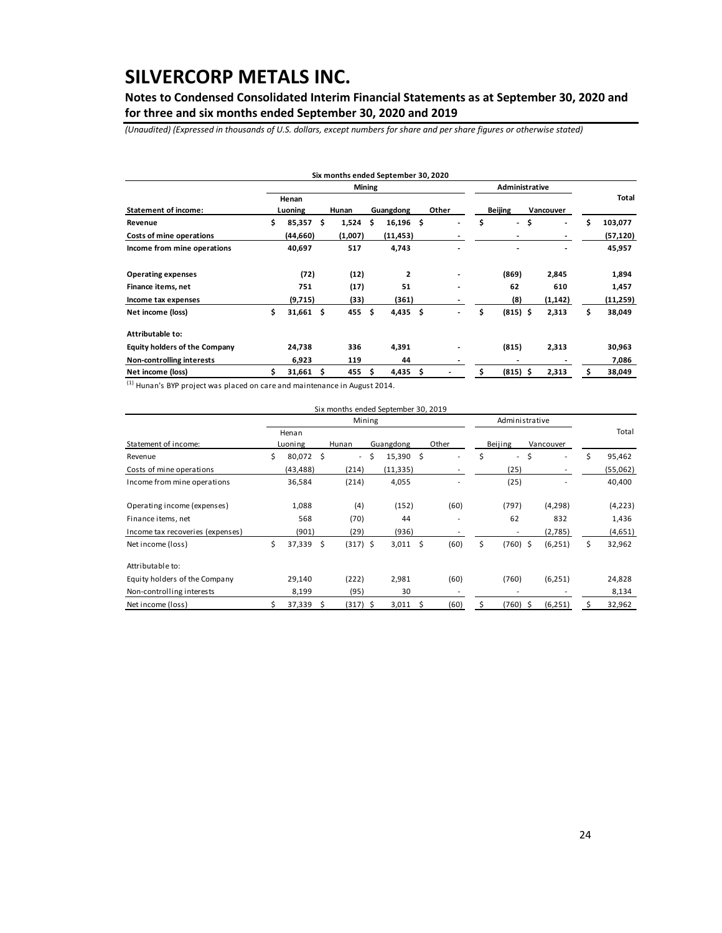**Notes to Condensed Consolidated Interim Financial Statements as at September 30, 2020 and for three and six months ended September 30, 2020 and 2019**

*(Unaudited) (Expressed in thousands of U.S. dollars, except numbers for share and per share figures or otherwise stated)*

|                                      |                  | <b>Mining</b> |       |         |           |              |       | Administrative |                                |    |                          |    |          |
|--------------------------------------|------------------|---------------|-------|---------|-----------|--------------|-------|----------------|--------------------------------|----|--------------------------|----|----------|
| <b>Statement of income:</b>          | Henan<br>Luoning |               | Hunan |         | Guangdong |              | Other |                | <b>Beijing</b>                 |    | Vancouver                |    | Total    |
| Revenue                              | \$.              | 85,357        | -Ŝ    | 1,524   | \$        | $16,196$ \$  |       | $\blacksquare$ | \$<br>$\overline{\phantom{a}}$ | \$ | $\overline{\phantom{a}}$ | Ś  | 103,077  |
| Costs of mine operations             |                  | (44,660)      |       | (1,007) |           | (11, 453)    |       |                | $\overline{\phantom{0}}$       |    | $\overline{\phantom{a}}$ |    | (57,120) |
| Income from mine operations          |                  | 40,697        |       | 517     |           | 4,743        |       |                | ٠                              |    | $\blacksquare$           |    | 45,957   |
| <b>Operating expenses</b>            |                  | (72)          |       | (12)    |           | $\mathbf{2}$ |       |                | (869)                          |    | 2,845                    |    | 1,894    |
| Finance items, net                   |                  | 751           |       | (17)    |           | 51           |       |                | 62                             |    | 610                      |    | 1,457    |
| Income tax expenses                  |                  | (9,715)       |       | (33)    |           | (361)        |       |                | (8)                            |    | (1, 142)                 |    | (11,259) |
| Net income (loss)                    | \$               | $31,661$ \$   |       | 455S    |           | $4,435$ \$   |       |                | \$<br>$(815)$ \$               |    | 2,313                    | \$ | 38,049   |
| Attributable to:                     |                  |               |       |         |           |              |       |                |                                |    |                          |    |          |
| <b>Equity holders of the Company</b> |                  | 24,738        |       | 336     |           | 4,391        |       |                | (815)                          |    | 2,313                    |    | 30,963   |
| Non-controlling interests            |                  | 6,923         |       | 119     |           | 44           |       |                |                                |    |                          |    | 7,086    |
| Net income (loss)                    |                  | $31,661$ \$   |       | 455     | s         | 4,435        | \$.   |                | $(815)$ \$                     |    | 2,313                    |    | 38,049   |

 $(1)$  Hunan's BYP project was placed on care and maintenance in August 2014.

|                                  |              |      | Six months ended September 30, 2019 |    |           |    |                          |    |            |     |                          |    |          |
|----------------------------------|--------------|------|-------------------------------------|----|-----------|----|--------------------------|----|------------|-----|--------------------------|----|----------|
|                                  | Mining       |      |                                     |    |           |    | Administrative           |    |            |     |                          |    |          |
|                                  | Henan        |      |                                     |    |           |    |                          |    |            |     |                          |    | Total    |
| Statement of income:             | Luoning      |      | Hunan                               |    | Guangdong |    | Other                    |    | Beijing    |     | Vancouver                |    |          |
| Revenue                          | \$<br>80,072 | - \$ | $\overline{\phantom{a}}$            | \$ | 15,390    | \$ | $\overline{\phantom{a}}$ | Ś  | $\sim$     | \$  | ٠                        | Ś  | 95,462   |
| Costs of mine operations         | (43, 488)    |      | (214)                               |    | (11, 335) |    |                          |    | (25)       |     | $\overline{\phantom{a}}$ |    | (55,062) |
| Income from mine operations      | 36,584       |      | (214)                               |    | 4,055     |    |                          |    | (25)       |     |                          |    | 40,400   |
| Operating income (expenses)      | 1,088        |      | (4)                                 |    | (152)     |    | (60)                     |    | (797)      |     | (4,298)                  |    | (4,223)  |
| Finance items, net               | 568          |      | (70)                                |    | 44        |    |                          |    | 62         |     | 832                      |    | 1,436    |
| Income tax recoveries (expenses) | (901)        |      | (29)                                |    | (936)     |    |                          |    | ٠          |     | (2,785)                  |    | (4,651)  |
| Net income (loss)                | \$<br>37,339 | - \$ | $(317)$ \$                          |    | 3,011     | \$ | (60)                     | Ś. | $(760)$ \$ |     | (6, 251)                 | \$ | 32,962   |
| Attributable to:                 |              |      |                                     |    |           |    |                          |    |            |     |                          |    |          |
| Equity holders of the Company    | 29,140       |      | (222)                               |    | 2,981     |    | (60)                     |    | (760)      |     | (6,251)                  |    | 24,828   |
| Non-controlling interests        | 8,199        |      | (95)                                |    | 30        |    |                          |    |            |     |                          |    | 8,134    |
| Net income (loss)                | 37,339       | S    | (317) S                             |    | 3,011     | Ś  | (60)                     | Ś  | (760)      | - Ś | (6,251)                  |    | 32,962   |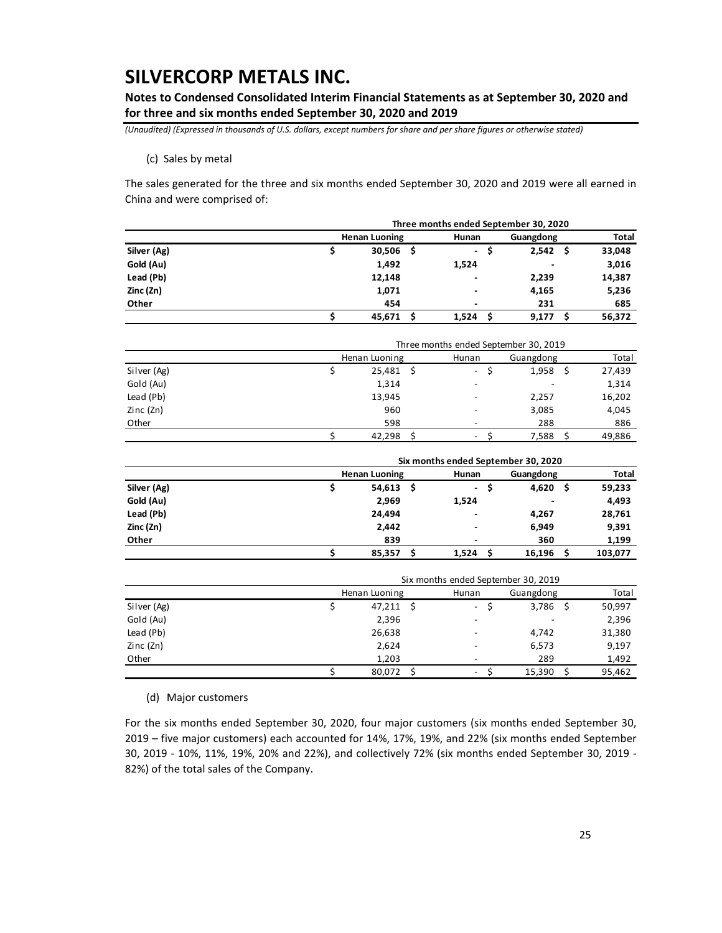**Notes to Condensed Consolidated Interim Financial Statements as at September 30, 2020 and for three and six months ended September 30, 2020 and 2019**

*(Unaudited) (Expressed in thousands of U.S. dollars, except numbers for share and per share figures or otherwise stated)*

(c) Sales by metal

The sales generated for the three and six months ended September 30, 2020 and 2019 were all earned in China and were comprised of:

|             | Three months ended September 30, 2020 |                      |                               |                |              |  |  |  |  |
|-------------|---------------------------------------|----------------------|-------------------------------|----------------|--------------|--|--|--|--|
|             |                                       | <b>Henan Luoning</b> | Hunan                         | Guangdong      | <b>Total</b> |  |  |  |  |
| Silver (Ag) |                                       | $30,506$ \$          | $\overline{\phantom{0}}$<br>S | 2,542<br>-Ś    | 33,048       |  |  |  |  |
| Gold (Au)   |                                       | 1,492                | 1,524                         | $\blacksquare$ | 3,016        |  |  |  |  |
| Lead (Pb)   |                                       | 12,148               | $\overline{\phantom{0}}$      | 2,239          | 14,387       |  |  |  |  |
| Zinc (Zn)   |                                       | 1,071                |                               | 4,165          | 5,236        |  |  |  |  |
| Other       |                                       | 454                  | $\overline{\phantom{a}}$      | 231            | 685          |  |  |  |  |
|             |                                       | 45,671               | 1,524                         | 9,177          | 56,372       |  |  |  |  |

|             | Three months ended September 30, 2019 |             |                          |                          |        |  |  |  |  |
|-------------|---------------------------------------|-------------|--------------------------|--------------------------|--------|--|--|--|--|
|             | Henan Luoning                         |             | Hunan                    | Guangdong                | Total  |  |  |  |  |
| Silver (Ag) |                                       | $25,481$ \$ | $\overline{\phantom{a}}$ | 1,958                    | 27,439 |  |  |  |  |
| Gold (Au)   | 1,314                                 |             |                          | $\overline{\phantom{a}}$ | 1,314  |  |  |  |  |
| Lead (Pb)   | 13,945                                |             |                          | 2,257                    | 16,202 |  |  |  |  |
| Zinc (Zn)   |                                       | 960         |                          | 3,085                    | 4,045  |  |  |  |  |
| Other       |                                       | 598         |                          | 288                      | 886    |  |  |  |  |
|             | 42,298                                |             | $\overline{\phantom{0}}$ | 7,588                    | 49,886 |  |  |  |  |

|             | Six months ended September 30, 2020 |                          |                          |   |              |  |  |  |  |
|-------------|-------------------------------------|--------------------------|--------------------------|---|--------------|--|--|--|--|
|             | <b>Henan Luoning</b>                | Hunan                    | Guangdong                |   | <b>Total</b> |  |  |  |  |
| Silver (Ag) | $54,613$ \$                         | $\overline{\phantom{a}}$ | 4,620                    | S | 59,233       |  |  |  |  |
| Gold (Au)   | 2,969                               | 1,524                    | $\overline{\phantom{a}}$ |   | 4,493        |  |  |  |  |
| Lead (Pb)   | 24.494                              |                          | 4,267                    |   | 28,761       |  |  |  |  |
| Zinc (Zn)   | 2,442                               |                          | 6,949                    |   | 9,391        |  |  |  |  |
| Other       | 839                                 | $\overline{\phantom{0}}$ | 360                      |   | 1,199        |  |  |  |  |
|             | 85.357                              | 1,524                    | 16,196                   |   | 103,077      |  |  |  |  |

|             | Six months ended September 30, 2019 |                          |                          |   |        |  |  |  |  |
|-------------|-------------------------------------|--------------------------|--------------------------|---|--------|--|--|--|--|
|             | Henan Luoning                       | Hunan                    | Guangdong                |   | Total  |  |  |  |  |
| Silver (Ag) |                                     | $47,211$ \$<br>$\sim$    | 3,786                    | S | 50,997 |  |  |  |  |
| Gold (Au)   | 2,396                               |                          | $\overline{\phantom{a}}$ |   | 2,396  |  |  |  |  |
| Lead (Pb)   | 26,638                              |                          | 4,742                    |   | 31,380 |  |  |  |  |
| Zinc (Zn)   | 2,624                               |                          | 6,573                    |   | 9,197  |  |  |  |  |
| Other       |                                     | 1,203                    | 289                      |   | 1,492  |  |  |  |  |
|             | 80.072                              | $\overline{\phantom{a}}$ | 15.390                   |   | 95,462 |  |  |  |  |

(d) Major customers

For the six months ended September 30, 2020, four major customers (six months ended September 30, 2019 – five major customers) each accounted for 14%, 17%, 19%, and 22% (six months ended September 30, 2019 - 10%, 11%, 19%, 20% and 22%), and collectively 72% (six months ended September 30, 2019 - 82%) of the total sales of the Company.